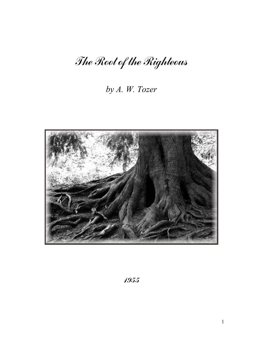# The Root of the Righteous

## *by A. W. Tozer*



1955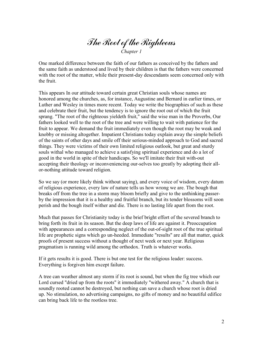#### The Root of the Righteous *Chapter 1*

One marked difference between the faith of our fathers as conceived by the fathers and the same faith as understood and lived by their children is that the fathers were concerned with the root of the matter, while their present-day descendants seem concerned only with the fruit.

This appears In our attitude toward certain great Christian souls whose names are honored among the churches, as, for instance, Augustine and Bernard in earlier times, or Luther and Wesley in times more recent. Today we write the biographies of such as these and celebrate their fruit, but the tendency is to ignore the root out of which the fruit sprang. "The root of the righteous yieldeth fruit," said the wise man in the Proverbs, Our fathers looked well to the root of the tree and were willing to wait with patience for the fruit to appear. We demand the fruit immediately even though the root may be weak and knobby or missing altogether. Impatient Christians today explain away the simple beliefs of the saints of other days and smile off their serious-minded approach to God and sacred things. They were victims of their own limited religious outlook, but great and sturdy souls withal who managed to achieve a satisfying spiritual experience and do a lot of good in the world in spite of their handicaps. So we'll imitate their fruit with-out accepting their theology or inconveniencing our-selves too greatly by adopting their allor-nothing attitude toward religion.

So we say (or more likely think without saying), and every voice of wisdom, every datum of religious experience, every law of nature tells us how wrong we are. The bough that breaks off from the tree in a storm may bloom briefly and give to the unthinking passerby the impression that it is a healthy and fruitful branch, but its tender blossoms will soon perish and the bough itself wither and die. There is no lasting life apart from the root.

Much that passes for Christianity today is the brief bright effort of the severed branch to bring forth its fruit in its season. But the deep laws of life are against it. Preoccupation with appearances and a corresponding neglect of the out-of-sight root of the true spiritual life are prophetic signs which go un-heeded. Immediate "results" are all that matter, quick proofs of present success without a thought of next week or next year. Religious pragmatism is running wild among the orthodox. Truth is whatever works.

If it gets results it is good. There is but one test for the religious leader: success. Everything is forgiven him except failure.

A tree can weather almost any storm if its root is sound, but when the fig tree which our Lord cursed "dried up from the roots" it immediately "withered away." A church that is soundly rooted cannot be destroyed, but nothing can save a church whose root is dried up. No stimulation, no advertising campaigns, no gifts of money and no beautiful edifice can bring back life to the rootless tree.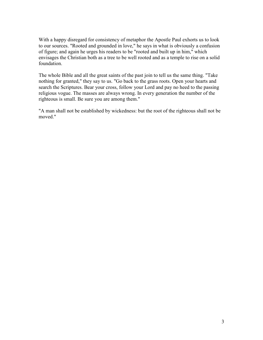With a happy disregard for consistency of metaphor the Apostle Paul exhorts us to look to our sources. "Rooted and grounded in love," he says in what is obviously a confusion of figure; and again he urges his readers to be "rooted and built up in him," which envisages the Christian both as a tree to be well rooted and as a temple to rise on a solid foundation.

The whole Bible and all the great saints of the past join to tell us the same thing. "Take nothing for granted," they say to us. "Go back to the grass roots. Open your hearts and search the Scriptures. Bear your cross, follow your Lord and pay no heed to the passing religious vogue. The masses are always wrong. In every generation the number of the righteous is small. Be sure you are among them."

"A man shall not be established by wickedness: but the root of the righteous shall not be moved<sup>"</sup>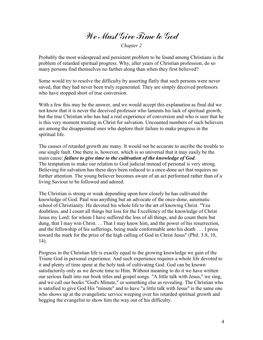#### We Must Give Time to God

*Chapter 2* 

Probably the most widespread and persistent problem to be found among Christians is the problem of retarded spiritual progress. Why, after years of Christian profession, do so many persons find themselves no farther along than when they first believed?

Some would try to resolve the difficulty by asserting flatly that such persons were never saved, that they had never been truly regenerated. They are simply deceived professors who have stopped short of true conversion.

With a few this may be the answer, and we would accept this explanation as final did we not know that it is never the deceived professor who laments his lack of spiritual growth, but the true Christian who has had a real experience of conversion and who is sure that he is this very moment trusting in Christ for salvation. Uncounted numbers of such believers are among the disappointed ones who deplore their failure to make progress in the spiritual life.

The causes of retarded growth are many. It would not be accurate to ascribe the trouble to one single fault. One there is, however, which is so universal that it may easily be the main cause: *failure to give time to the cultivation of the knowledge of God*. The temptation to make our relation to God judicial instead of personal is very strong. Believing for salvation has these days been reduced to a once-done act that requires no further attention. The young believer becomes aware of an act performed rather than of a living Saviour to be followed and adored.

The Christian is strong or weak depending upon how closely he has cultivated the knowledge of God. Paul was anything but an advocate of the once-done, automatic school of Christianity. He devoted his whole life to the art of knowing Christ. "Yea doubtless, and I count all things but loss for the Excellency of the knowledge of Christ Jesus my Lord: for whom I have suffered the loss of all things, and do count them but dung, that I may win Christ. . . That I may know him, and the power of his resurrection, and the fellowship of his sufferings, being made conformable unto his death . . . I press toward the mark for the prize of the high calling of God in Christ Jesus" (Phil. 3:8, 10, 14).

Progress in the Christian life is exactly equal to the growing knowledge we gain of the Triune God in personal experience. And such experience requires a whole life devoted to it and plenty of time spent at the holy task of cultivating God. God can be known satisfactorily only as we devote time to Him. Without meaning to do it we have written our serious fault into our book titles and gospel songs. "A little talk with Jesus," we sing, and we call our books "God's Minute," or something else as revealing. The Christian who is satisfied to give God His "minute" and to have "a little talk with Jesus" is the same one who shows up at the evangelistic service weeping over his retarded spiritual growth and begging the evangelist to show him the way out of his difficulty.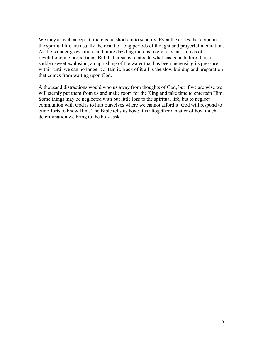We may as well accept it: there is no short cut to sanctity. Even the crises that come in the spiritual life are usually the result of long periods of thought and prayerful meditation. As the wonder grows more and more dazzling there is likely to occur a crisis of revolutionizing proportions. But that crisis is related to what has gone before. It is a sudden sweet explosion, an uprushing of the water that has been increasing its pressure within until we can no longer contain it. Back of it all is the slow buildup and preparation that comes from waiting upon God.

A thousand distractions would woo us away from thoughts of God, but if we are wise we will sternly put them from us and make room for the King and take time to entertain Him. Some things may be neglected with but little loss to the spiritual life, but to neglect communion with God is to hurt ourselves where we cannot afford it. God will respond to our efforts to know Him. The Bible tells us how; it is altogether a matter of how much determination we bring to the holy task.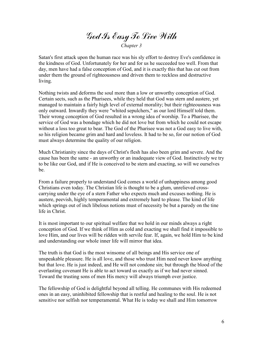#### God Is Easy To Live With *Chapter 3*

Satan's first attack upon the human race was his sly effort to destroy Eve's confidence in the kindness of God. Unfortunately for her and for us he succeeded too well. From that day, men have had a false conception of God, and it is exactly this that has cut out from under them the ground of righteousness and driven them to reckless and destructive living.

Nothing twists and deforms the soul more than a low or unworthy conception of God. Certain sects, such as the Pharisees, while they held that God was stern and austere, yet managed to maintain a fairly high level of external morality; but their righteousness was only outward. Inwardly they were "whited sepulchers," as our lord Himself told them. Their wrong conception of God resulted in a wrong idea of worship. To a Pharisee, the service of God was a bondage which he did not love but from which he could not escape without a loss too great to bear. The God of the Pharisee was not a God easy to live with, so his religion became grim and hard and loveless. It had to be so, for our notion of God must always determine the quality of our religion.

Much Christianity since the days of Christ's flesh has also been grim and severe. And the cause has been the same - an unworthy or an inadequate view of God. Instinctively we try to be like our God, and if He is conceived to be stern and exacting, so will we ourselves be.

From a failure properly to understand God comes a world of unhappiness among good Christians even today. The Christian life is thought to be a glum, unrelieved crosscarrying under the eye of a stern Father who expects much and excuses nothing. He is austere, peevish, highly temperamental and extremely hard to please. The kind of life which springs out of inch libelous notions must of necessity be but a parody on the tine life in Christ.

It is most important to our spiritual welfare that we hold in our minds always a right conception of God. If we think of Him as cold and exacting we shall find it impossible to love Him, and our lives will be ridden with servile fear. If, again, we hold Him to be kind and understanding our whole inner life will mirror that idea.

The truth is that God is the most winsome of all beings and His service one of unspeakable pleasure. He is all love, and those who trust Him need never know anything but that love. He is just indeed, and He will not condone sin; but through the blood of the everlasting covenant He is able to act toward us exactly as if we had never sinned. Toward the trusting sons of men His mercy will always triumph over justice.

The fellowship of God is delightful beyond all telling. He communes with His redeemed ones in an easy, uninhibited fellowship that is restful and healing to the soul. He is not sensitive nor selfish nor temperamental. What He is today we shall and Him tomorrow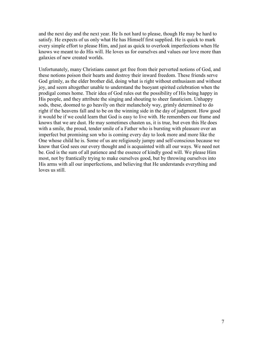and the next day and the next year. He Is not hard to please, though He may be hard to satisfy. He expects of us only what He has Himself first supplied. He is quick to mark every simple effort to please Him, and just as quick to overlook imperfections when He knows we meant to do His will. He loves us for ourselves and values our love more than galaxies of new created worlds.

Unfortunately, many Christians cannot get free from their perverted notions of God, and these notions poison their hearts and destroy their inward freedom. These friends serve God grimly, as the elder brother did, doing what is right without enthusiasm and without joy, and seem altogether unable to understand the buoyant spirited celebration when the prodigal comes home. Their idea of God rules out the possibility of His being happy in His people, and they attribute the singing and shouting to sheer fanaticism. Unhappy sods, these, doomed to go heavily on their melancholy way, grimly determined to do right if the heavens fall and to be on the winning side in the day of judgment. How good it would be if we could learn that God is easy to live with. He remembers our frame and knows that we are dust. He may sometimes chasten us, it is true, but even this He does with a smile, the proud, tender smile of a Father who is bursting with pleasure over an imperfect but promising son who is coming every day to look more and more like the One whose child he is. Some of us are religiously jumpy and self-conscious because we know that God sees our every thought and is acquainted with all our ways. We need not be. God is the sum of all patience and the essence of kindly good will. We please Him most, not by frantically trying to make ourselves good, but by throwing ourselves into His arms with all our imperfections, and believing that He understands everything and loves us still.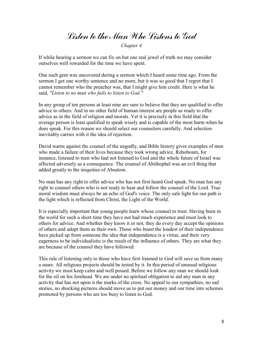## Listen to the Man Who Listens to God

*Chapter 4* 

If while hearing a sermon we can fix on but one real jewel of truth we may consider ourselves well rewarded for the time we have spent.

One such gem was uncovered during a sermon which I heard some time ago. From the sermon I got one worthy sentence and no more, but it was so good that I regret that I cannot remember who the preacher was, that I might give him credit. Here is what he said, *"Listen to no man who fails to listen to God."*

In any group of ten persons at least nine are sure to believe that they are qualified to offer advice to others. And in no other field of human interest are people as ready to offer advice as in the field of religion and morals. Yet it is precisely in this field that the average person is least qualified to speak wisely and is capable of the most harm when he does speak. For this reason we should select our counselors carefully. And selection inevitably carries with it the idea of rejection.

David warns against the counsel of the ungodly, and Bible history gives examples of men who made a failure of their lives because they took wrong advice. Rehoboam, for instance, listened to men who had not listened to God and the whole future of Israel was affected adversely as a consequence. The counsel of Ahithophel was an evil thing that added greatly to the iniquities of Absalom.

No man has any right to offer advice who has not first heard God speak. No man has any right to counsel others who is not ready to hear and follow the counsel of the Lord. True moral wisdom must always be an echo of God's voice. The only safe light for our path is the light which is reflected from Christ, the Light of the World.

It is especially important that young people learn whose counsel to trust. Having been in the world for such a short time they have not had much experience and must look to others for advice. And whether they know it or not, they do every day accept the opinions of others and adopt them as their own. Those who boast the loudest of their independence have picked up from someone the idea that independence is a virtue, and their very eagerness to be individualistic is the result of the influence of others. They are what they are because of the counsel they have followed.

This rule of listening only to those who have first listened to God will save us from many a snare. All religious projects should be tested by it. In this period of unusual religious activity we must keep calm and well poised. Before we follow any man we should look for the oil on his forehead. We are under no spiritual obligation to aid any man in any activity that has not upon it the marks of the cross. No appeal to our sympathies, no sad stories, no shocking pictures should move us to put our money and our time into schemes promoted by persons who are too busy to listen to God.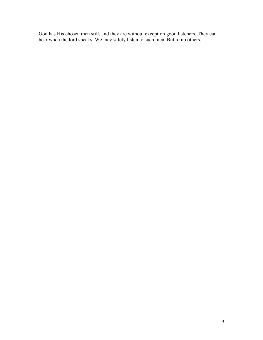God has His chosen men still, and they are without exception good listeners. They can hear when the lord speaks. We may safely listen to such men. But to no others.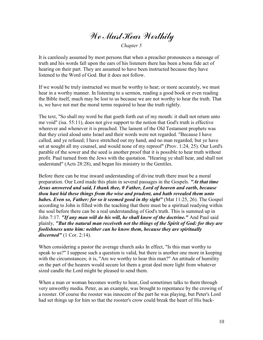## We Must Hear Worthily

*Chapter 5* 

It is carelessly assumed by most persons that when a preacher pronounces a message of truth and his words fall upon the ears of his listeners there has been a bona fide act of hearing on their part. They are assumed to have been instructed because they have listened to the Word of God. But it does not follow.

If we would be truly instructed we must be worthy to hear; or more accurately, we must hear in a worthy manner. In listening to a sermon, reading a good book or even reading the Bible itself, much may be lost to us because we are not worthy to hear the truth. That is, we have not met the moral terms required to hear the truth rightly.

The text, "So shall my word be that goeth forth out of my mouth: it shall not return unto me void" (isa. 55:11), does not give support to the notion that God's truth is effective wherever and whenever it is preached. The lament of the Old Testament prophets was that they cried aloud unto Israel and their words were not regarded. "Because I have called, and ye refused; I have stretched out my hand, and no man regarded; but ye have set at nought all my counsel, and would none of my reproof" (Prov. 1:24, 25). Our Lord's parable of the sower and the seed is another proof that it is possible to hear truth without profit. Paul turned from the Jews with the quotation. "Hearing ye shall hear, and shall not understand" (Acts 28:28), and began his ministry to the Gentiles.

Before there can be true inward understanding of divine truth there must be a moral preparation. Our Lord made this plain in several passages in the Gospels. *"At that time Jesus answered and said, I thank thee, 0 Father, Lord of heaven and earth, because thou hast hid these things from the wise and prudent, and hath revealed them unto babes. Even so, Father: for so it seemed good in thy sight"* (Mat 11:25, 26). The Gospel according to John is filled with the teaching that there must be a spiritual readying within the soul before there can be a real understanding of God's truth. This is summed up in John 7:17. *"If any man will do his will, he shall know of the doctrine."* And Paul said plainly, *"But the natural man receiveth not the things of the Spirit of God: for they are foolishness unto him: neither can he know them, because they are spiritually discerned"* (1 Cor. 2:14).

When considering a pastor the average church asks In effect, "Is this man worthy to speak to us?" I suppose such a question is valid, but there is another one more in keeping with the circumstances; it is, "Are we worthy to hear this man?" An attitude of humility on the part of the hearers would secure lot them a great deal more light from whatever sized candle the Lord might be pleased to send them.

When a man or woman becomes worthy to hear, God sometimes talks to them through very unworthy media. Peter, as an example, was brought to repentance by the crowing of a rooster. Of course the rooster was innocent of the part he was playing, but Peter's Lord had set things up for him so that the rooster's crow could break the heart of His back-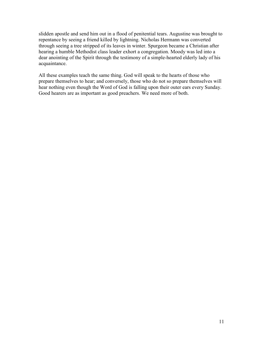slidden apostle and send him out in a flood of penitential tears. Augustine was brought to repentance by seeing a friend killed by lightning. Nicholas Hermann was converted through seeing a tree stripped of its leaves in winter. Spurgeon became a Christian after hearing a humble Methodist class leader exhort a congregation. Moody was led into a dear anointing of the Spirit through the testimony of a simple-hearted elderly lady of his acquaintance.

All these examples teach the same thing. God will speak to the hearts of those who prepare themselves to hear; and conversely, those who do not so prepare themselves will hear nothing even though the Word of God is falling upon their outer ears every Sunday. Good hearers are as important as good preachers. We need more of both.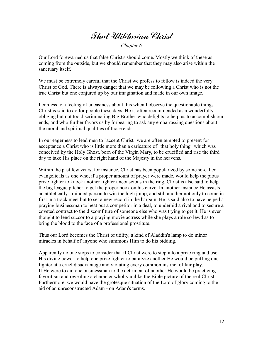## That Utilitarian Christ

*Chapter 6* 

Our Lord forewarned us that false Christ's should come. Mostly we think of these as coming from the outside, but we should remember that they may also arise within the sanctuary itself.

We must be extremely careful that the Christ we profess to follow is indeed the very Christ of God. There is always danger that we may be following a Christ who is not the true Christ but one conjured up by our imagination and made in our own image.

I confess to a feeling of uneasiness about this when I observe the questionable things Christ is said to do for people these days. He is often recommended as a wonderfully obliging but not too discriminating Big Brother who delights to help us to accomplish our ends, and who further favors us by forbearing to ask any embarrassing questions about the moral and spiritual qualities of those ends.

In our eagerness to lead men to "accept Christ" we are often tempted to present for acceptance a Christ who is little more than a caricature of "that holy thing" which was conceived by the Holy Ghost, born of the Virgin Mary, to be crucified and rise the third day to take His place on the right hand of the Majesty in the heavens.

Within the past few years, for instance, Christ has been popularized by some so-called evangelicals as one who, if a proper amount of prayer were made, would help the pious prize fighter to knock another fighter unconscious in the ring. Christ is also said to help the big league pitcher to get the proper hook on his curve. In another instance He assists an athletically - minded parson to win the high jump, and still another not only to come in first in a track meet but to set a new record in the bargain. He is said also to have helped a praying businessman to beat out a competitor in a deal, to underbid a rival and to secure a coveted contract to the discomfiture of someone else who was trying to get it. He is even thought to lend succor to a praying movie actress while she plays a role so lewd as to bring the blood to the face of a professional prostitute.

Thus our Lord becomes the Christ of utility, a kind of Aladdin's lamp to do minor miracles in behalf of anyone who summons Him to do his bidding.

Apparently no one stops to consider that if Christ were to step into a prize ring and use His divine power to help one prize fighter to paralyze another He would be puffing one fighter at a cruel disadvantage and violating every common instinct of fair play. If He were to aid one businessman to the detriment of another He would be practicing favoritism and revealing a character wholly unlike the Bible picture of the real Christ Furthermore, we would have the grotesque situation of the Lord of glory coming to the aid of an unreconstructed Adam - on Adam's terms.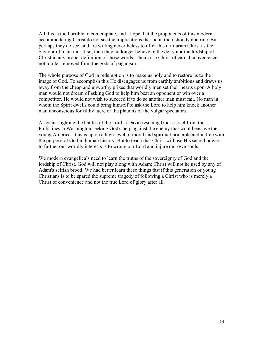All this is too horrible to contemplate, and I hope that the proponents of this modern accommodating Christ do not see the implications that lie in their shoddy doctrine. But perhaps they do see, and are willing nevertheless to offer this utilitarian Christ as the Saviour of mankind. If so, then they no longer believe in the deity nor the lordship of Christ in any proper definition of those words. Theirs is a Christ of carnal convenience, not too far removed from the gods of paganism.

The whole purpose of God in redemption is to make us holy and to restore us to the image of God. To accomplish this He disengages us from earthly ambitions and draws us away from the cheap and unworthy prizes that worldly men set their hearts upon. A holy man would not dream of asking God to help him beat an opponent or win over a competitor. He would not wish to succeed if to do so another man must fail. No man in whom the Spirit dwells could bring himself to ask the Lord to help him knock another man unconscious for filthy lucre or the plaudits of the vulgar spectators.

A Joshua fighting the battles of the Lord, a David rescuing God's Israel from the Philistines, a Washington seeking God's help against the enemy that would enslave the young America - this is up on a high level of moral and spiritual principle and in line with the purpose of God in human history. But to teach that Christ will use His sacred power to further our worldly interests is to wrong our Lord and injure our own souls.

We modern evangelicals need to learn the truths of the sovereignty of God and the lordship of Christ. God will not play along with Adam; Christ will not he used by any of Adam's selfish brood. We had better learn these things fast if this generation of young Christians is to be spared the supreme tragedy of following a Christ who is merely a Christ of convenience and not the true Lord of glory after all.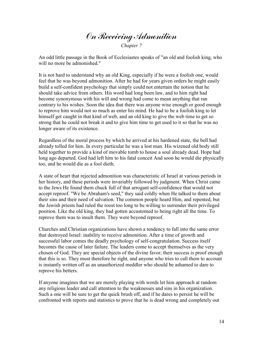#### On Receiving Admonition *Chapter 7*

An odd little passage in the Book of Ecclesiastes speaks of "an old and foolish king, who will no more be admonished."

It is not hard to understand why an old King, especially if he were a foolish one, would feel that he was beyond admonition. After he had for years given orders he might easily build a self-confident psychology that simply could not entertain the notion that he should take advice from others. His word had long been law, and to him right had become synonymous with his will and wrong had come to mean anything that ran contrary to his wishes. Soon the idea that there was anyone wise enough or good enough to reprove him would not so much as enter his mind. He had to be a foolish king to let himself get caught in that kind of web, and an old king to give the web time to get so strong that he could not break it and to give him time to get used to it so that he was no longer aware of its existence.

Regardless of the moral process by which he arrived at his hardened state, the bell had already tolled for him. In every particular he was a lost man. His wizened old body still held together to provide a kind of movable tomb to house a soul already dead. Hope had long ago departed. God had left him to his fatal conceit And soon he would die physically too, and he would die as a fool dieth.

A state of heart that rejected admonition was characteristic of Israel at various periods in her history, and these periods were invariably followed by judgment. When Christ came to the Jews He found them chuck full of that arrogant self-confidence that would not accept reproof. "We be Abraham's seed," they said coldly when He talked to them about their sins and their need of salvation. The common people heard Him, and repented, but the Jewish priests had ruled the roost too long to be willing to surrender their privileged position. Like the old king, they bad gotten accustomed to being right all the time. To reprove them was to insult them. They were beyond reproof.

Churches and Christian organizations have shown a tendency to fall into the same error that destroyed Israel: inability to receive admonition. After a time of growth and successful labor comes the deadly psychology of self-congratulation. Success itself becomes the cause of later failure. The leaders come to accept themselves as the very chosen of God. They are special objects of the divine favor; their success is proof enough that this is so. They must therefore be right, and anyone who tries to call them to account is instantly written off as an unauthorized meddler who should be ashamed to dare to reprove his betters.

If anyone imagines that we are merely playing with words let him approach at random any religious leader and call attention to the weaknesses and sins in his organization. Such a one will be sure to get the quick brush off, and if he dares to persist he will be confronted with reports and statistics to prove that he is dead wrong and completely out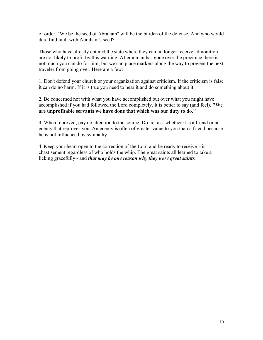of order. "We be the seed of Abraham" will be the burden of the defense. And who would dare find fault with Abraham's seed?

Those who have already entered the state where they can no longer receive admonition are not likely to profit by this warning. After a man has gone over the precipice there is not much you can do for him; but we can place markers along the way to prevent the next traveler from going over. Here are a few:

1. Don't defend your church or your organization against criticism. If the criticism is false it can do no harm. If it is true you need to hear it and do something about it.

2. Be concerned not with what you have accomplished but over what you might have accomplished if you had followed the Lord completely. It is better to say (and feel), **"We are unprofitable servants we have done that which was our duty to do."**

3. When reproved, pay no attention to the source. Do not ask whether it is a friend or an enemy that reproves you. An enemy is often of greater value to you than a friend because he is not influenced by sympathy.

4. Keep your heart open to the correction of the Lord and be ready to receive His chastisement regardless of who holds the whip. The great saints all learned to take a licking gracefully - and *that may be one reason why they were great saints.*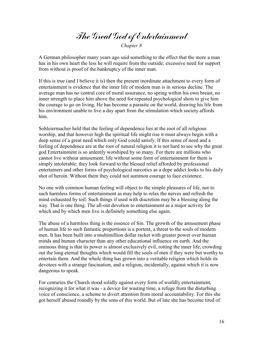## The Great God of Entertainment

*Chapter 8* 

A German philosopher many years ago said something to the effect that the more a man has in his own heart the less he will require from the outside; excessive need for support from without is proof of the bankruptcy of the inner man.

If this is true (and I believe it is) then the present inordinate attachment to every form of entertainment is evidence that the inner life of modem man is in serious decline. The average man has no central core of moral assurance, no spring within his own breast, no inner strength to place him above the need for repeated psychological shots to give him the courage to go on living. He has become a parasite on the world, drawing his life from his environment unable to live a day apart from the stimulation which society affords him.

Sohleiermacher held that the feeling of dependence lies at the root of all religious worship, and that however high the spiritual life might rise it must always begin with a deep sense of a great need which only God could satisfy. If this sense of need and a feeling of dependence are at the root of natural religion it is not hard to see why the great god Entertainment is so ardently worshiped by so many. For there are millions who cannot live without amusement; life without some form of entertainment for them is simply intolerable; they look forward to the blessed relief afforded by professional entertainers and other forms of psychological narcotics as a dope addict looks to his daily shot of heroin. Without them they could not summon courage to face existence.

No one with common human feeling will object to the simple pleasures of life, nor to such harmless forms of entertainment as may help to relax the nerves and refresh the mind exhausted by toil. Such things if used with discretion may be a blessing along the way. That is one thing. The all-out devotion to entertainment as a major activity for which and by which men live is definitely something else again.

The abuse of a harmless thing is the essence of Sin. The growth of the amusement phase of human life to such fantastic proportions is a portent, a threat to the souls of modern men. It has been built into a multimillion dollar racket with greater power over human minds and human character than any other educational influence on earth. And the ominous thing is that its power is almost exclusively evil, rotting the inner life, crowding out the long eternal thoughts which would fill the souls of men if they were but worthy to entertain them. And the whole thing has grown into a veritable religion which holds its devotees with a strange fascination, and a religion, incidentally, against which it is now dangerous to speak.

For centuries the Church stood solidly against every form of worldly entertainment, recognizing it for what it was - a device for wasting time, a refuge from the disturbing voice of conscience, a scheme to divert attention from moral accountability. For this she got herself abused roundly by the sons of this world. But of late she has become tired of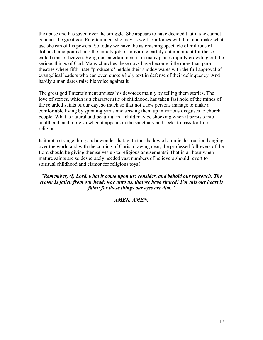the abuse and has given over the struggle. She appears to have decided that if she cannot conquer the great god Entertainment she may as well join forces with him and make what use she can of his powers. So today we have the astonishing spectacle of millions of dollars being poured into the unholy job of providing earthly entertainment for the socalled sons of heaven. Religious entertainment is in many places rapidly crowding out the serious things of God. Many churches these days have become little more than poor theatres where fifth -rate "producers" peddle their shoddy wares with the full approval of evangelical leaders who can even quote a holy text in defense of their delinquency. And hardly a man dares raise his voice against it.

The great god Entertainment amuses his devotees mainly by telling them stories. The love of stories, which is a characteristic of childhood, has taken fast hold of the minds of the retarded saints of our day, so much so that not a few persons manage to make a comfortable living by spinning yarns and serving them up in various disguises to church people. What is natural and beautiful in a child may be shocking when it persists into adulthood, and more so when it appears in the sanctuary and seeks to pass for true religion.

Is it not a strange thing and a wonder that, with the shadow of atomic destruction hanging over the world and with the coming of Christ drawing near, the professed followers of the Lord should be giving themselves up to religious amusements? That in an hour when mature saints are so desperately needed vast numbers of believers should revert to spiritual childhood and clamor for religions toys?

*"Remember, (I) Lord, what is come upon us: consider, and behold our reproach. The crown Is fallen from our head: woe unto us, that we have sinned! For this our heart is faint; for these things our eyes are dim."* 

#### *AMEN. AMEN.*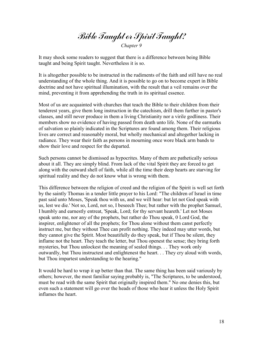Bible Taught or Spirit Taught?

*Chapter 9* 

It may shock some readers to suggest that there is a difference between being Bible taught and being Spirit taught. Nevertheless it is so.

It is altogether possible to be instructed in the rudiments of the faith and still have no real understanding of the whole thing. And it is possible to go on to become expert in Bible doctrine and not have spiritual illumination, with the result that a veil remains over the mind, preventing it from apprehending the truth in its spiritual essence.

Most of us are acquainted with churches that teach the Bible to their children from their tenderest years, give them long instruction in the catechism, drill them further in pastor's classes, and still never produce in them a living Christianity nor a virile godliness. Their members show no evidence of having passed from death unto life. None of the earmarks of salvation so plainly indicated in the Scriptures are found among them. Their religious lives are correct and reasonably moral, but wholly mechanical and altogether lacking in radiance. They wear their faith as persons in mourning once wore black arm bands to show their love and respect for the departed.

Such persons cannot be dismissed as hypocrites. Many of them are pathetically serious about it all. They are simply blind. From lack of the vital Spirit they are forced to get along with the outward shell of faith, while all the time their deep hearts are starving for spiritual reality and they do not know what is wrong with them.

This difference between the religion of creed and the religion of the Spirit is well set forth by the saintly Thomas in a tender little prayer to his Lord: "The children of Israel in time past said unto Moses, 'Speak thou with us, and we will hear: but let not God speak with us, lest we die.' Not so, Lord, not so, I beseech Thee; but rather with the prophet Samuel, I humbly and earnestly entreat, 'Speak, Lord; for thy servant heareth.' Let not Moses speak unto me, nor any of the prophets, but rather do Thou speak, 0 Lord God, the inspirer, enlightener of all the prophets; for Thou alone without them canst perfectly instruct me, but they without Thee can profit nothing. They indeed may utter words, but they cannot give the Spirit. Most beautifully do they speak, but if Thou be silent, they inflame not the heart. They teach the letter, but Thou openest the sense; they bring forth mysteries, but Thou unlockest the meaning of sealed things. . . They work only outwardly, but Thou instructest and enlightenest the heart. . . They cry aloud with words, but Thou impartest understanding to the hearing."

It would be hard to wrap it up better than that. The same thing has been said variously by others; however, the most familiar saying probably is, "The Scriptures, to be understood, must be read with the same Spirit that originally inspired them." No one denies this, but even such a statement will go over the heads of those who hear it unless the Holy Spirit inflames the heart.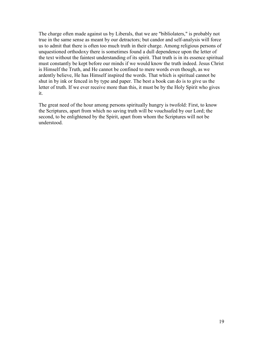The charge often made against us by Liberals, that we are "bibliolaters," is probably not true in the same sense as meant by our detractors; but candor and self-analysis will force us to admit that there is often too much truth in their charge. Among religious persons of unquestioned orthodoxy there is sometimes found a dull dependence upon the letter of the text without the faintest understanding of its spirit. That truth is in its essence spiritual must constantly be kept before our minds if we would know the truth indeed. Jesus Christ is Himself the Truth, and He cannot be confined to mere words even though, as we ardently believe, He has Himself inspired the words. That which is spiritual cannot be shut in by ink or fenced in by type and paper. The best a book can do is to give us the letter of truth. If we ever receive more than this, it must be by the Holy Spirit who gives it.

The great need of the hour among persons spiritually hungry is twofold: First, to know the Scriptures, apart from which no saving truth will be vouchsafed by our Lord; the second, to be enlightened by the Spirit, apart from whom the Scriptures will not be understood.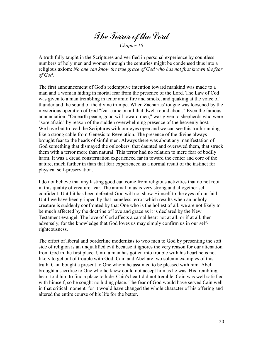The Terror of the Lord

*Chapter 10* 

A truth fully taught in the Scriptures and verified in personal experience by countless numbers of holy men and women through the centuries might be condensed thus into a religious axiom: *No one can know the true grace of God who has not first known the fear of God.*

The first announcement of God's redemptive intention toward mankind was made to a man and a woman hiding in mortal fear from the presence of the Lord. The Law of Cod was given to a man trembling in tenor amid fire and smoke, and quaking at the voice of thunder and the sound of the divine trumpet When Zacharias' tongue was loosened by the mysterious operation of God "fear came on all that dwelt round about." Even the famous annunciation, "On earth peace, good will toward men," was given to shepherds who were "sore afraid" by reason of the sudden overwhelming presence of the heavenly host. We have but to read the Scriptures with our eyes open and we can see this truth running like a strong cable from Genesis to Revelation. The presence of the divine always brought fear to the heads of sinful men. Always there was about any manifestation of God something that dismayed the onlookers, that daunted and overawed them, that struck them with a terror more than natural. This terror had no relation to mere fear of bodily harm. It was a dread consternation experienced far in toward the center and core of the nature, much farther in than that fear experienced as a normal result of the instinct for physical self-preservation.

I do not believe that any lasting good can come from religious activities that do not root in this quality of creature-fear. The animal in us is very strong and altogether selfconfident. Until it has been defeated God will not show Himself to the eyes of our faith. Until we have been gripped by that nameless terror which results when an unholy creature is suddenly confronted by that One who is the holiest of all, we are not likely to be much affected by the doctrine of love and grace as it is declared by the New Testament evangel. The love of God affects a carnal heart not at all; or if at all, then adversely, for the knowledge that God loves us may simply confirm us in our selfrighteousness.

The effort of liberal and borderline modernists to woo men to God by presenting the soft side of religion is an unqualified evil because it ignores the very reason for our alienation from God in the first place. Until a man has gotten into trouble with his heart he is not likely to get out of trouble with God. Cain and Abel are two solemn examples of this truth. Cain bought a present to One whom he assumed to be pleased with him. Abel brought a sacrifice to One who he knew could not accept him as he was. His trembling heart told him to find a place to hide. Cain's heart did not tremble. Cain was well satisfied with himself, so he sought no hiding place. The fear of God would have served Cain well in that critical moment, for it would have changed the whole character of his offering and altered the entire course of his life for the better.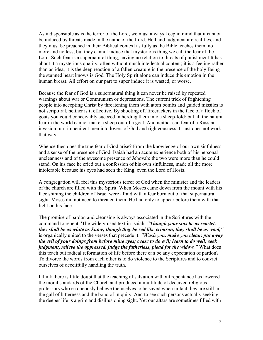As indispensable as is the terror of the Lord, we must always keep in mind that it cannot be induced by threats made in the name of the Lord. Hell and judgment are realities, and they must be preached in their Biblical context as fully as the Bible teaches them, no more and no less; but they cannot induce that mysterious thing we call the fear of the Lord. Such fear is a supernatural thing, having no relation to threats of punishment It has about it a mysterious quality, often without much intellectual content; it is a feeling rather than an idea; it is the deep reaction of a fallen creature in the presence of the holy Being the stunned heart knows is God. The Holy Spirit alone can induce this emotion in the human breast. All effort on our part to super induce it is wasted, or worse.

Because the fear of God is a supernatural thing it can never be raised by repeated warnings about war or Communism or depressions. The current trick of frightening people into accepting Christ by threatening them with atom bombs and guided missiles is not scriptural, neither is it effective. By shooting off firecrackers in the face of a flock of goats you could conceivably succeed in herding them into a sheep-fold; but all the natural fear in the world cannot make a sheep out of a goat. And neither can fear of a Russian invasion turn impenitent men into lovers of God and righteousness. It just does not work that way.

Whence then does the true fear of God arise? From the knowledge of our own sinfulness and a sense of the presence of God. Isaiah had an acute experience both of his personal uncleanness and of the awesome presence of Jehovah: the two were more than he could stand. On his face he cried out a confession of his own sinfulness, made all the more intolerable because his eyes had seen the King, even the Lord of Hosts.

A congregation will feel this mysterious terror of God when the minister and the leaders of the church are filled with the Spirit. When Moses came down from the mount with his face shining the children of Israel were afraid with a fear born out of that supernatural sight. Moses did not need to threaten them. He had only to appear before them with that light on his face.

The promise of pardon and cleansing is always associated in the Scriptures with the command to repent. 'The widely-used text in Isaiah, *"Though your sins be as scarlet, they shall be as white as Snow; though they be red like crimson, they shall be as wool,"* is organically united to the verses that precede it: *"Wash you, make you clean; put away the evil of your doings from before mine eyes; cease to do evil; learn to do well; seek judgment, relieve the oppressed, judge the fatherless, plead for the widow."* What does this teach but radical reformation of life before there can be any expectation of pardon? To divorce the words from each other is to do violence to the Scriptures and to convict ourselves of deceitfully handling the truth.

I think there is little doubt that the teaching of salvation without repentance has lowered the moral standards of the Church and produced a multitude of deceived religious professors who erroneously believe themselves to be saved when in fact they are still in the gall of bitterness and the bond of iniquity. And to see such persons actually seeking the deeper life is a grim and disillusioning sight. Yet our altars are sometimes filled with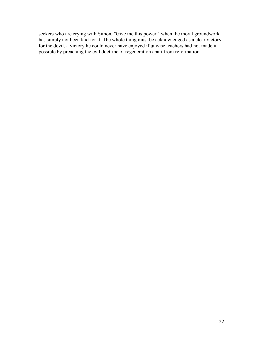seekers who are crying with Simon, "Give me this power," when the moral groundwork has simply not been laid for it. The whole thing must be acknowledged as a clear victory for the devil, a victory he could never have enjoyed if unwise teachers had not made it possible by preaching the evil doctrine of regeneration apart from reformation.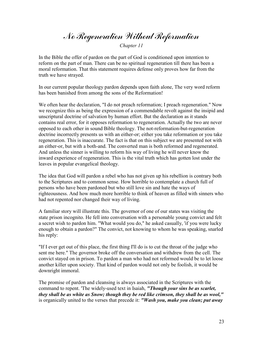No Regeneration Without Reformation

*Chapter 11* 

In the Bible the offer of pardon on the part of God is conditioned upon intention to reform on the part of man. There can be no spiritual regeneration till there has been a moral reformation. That this statement requires defense only proves how far from the truth we have strayed.

In our current popular theology pardon depends upon faith alone, The very word reform has been banished from among the sons of the Reformation!

We often hear the declaration, "I do not preach reformation; I preach regeneration." Now we recognize this as being the expression of a commendable revolt against the insipid and unscriptural doctrine of salvation by human effort. But the declaration as it stands contains real error, for it opposes reformation to regeneration. Actually the two are never opposed to each other in sound Bible theology. The not-reformation-but-regeneration doctrine incorrectly presents us with an either-or; either you take reformation or you take regeneration. This is inaccurate. The fact is that on this subject we are presented not with an either-or, but with a both-and. The converted man is both reformed and regenerated. And unless the sinner is willing to reform his way of living he will never know the inward experience of regeneration. This is the vital truth which has gotten lost under the leaves in popular evangelical theology.

The idea that God will pardon a rebel who has not given up his rebellion is contrary both to the Scriptures and to common sense. How horrible to contemplate a church full of persons who have been pardoned but who still love sin and hate the ways of righteousness. And how much more horrible to think of heaven as filled with sinners who had not repented nor changed their way of living.

A familiar story will illustrate this. The governor of one of our states was visiting the state prison incognito. He fell into conversation with a personable young convict and felt a secret wish to pardon him. "What would you do," he asked casually, 'if you were lucky enough to obtain a pardon?" The convict, not knowing to whom he was speaking, snarled his reply:

"If I ever get out of this place, the first thing I'll do is to cut the throat of the judge who sent me here." The governor broke off the conversation and withdrew from the cell. The convict stayed on in prison. To pardon a man who had not reformed would be to let loose another killer upon society. That kind of pardon would not only be foolish, it would be downright immoral.

The promise of pardon and cleansing is always associated in the Scriptures with the command to repent. 'The widely-used text in Isaiah, *"Though your sins be as scarlet, they shall be as white as Snow; though they be red like crimson, they shall be as wool,"* is organically united to the verses that precede it: *"Wash you, make you clean; put away*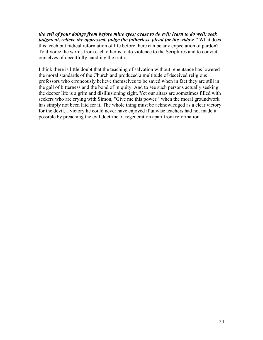*the evil of your doings from before mine eyes; cease to do evil; learn to do well; seek judgment, relieve the oppressed, judge the fatherless, plead for the widow."* What does this teach but radical reformation of life before there can be any expectation of pardon? To divorce the words from each other is to do violence to the Scriptures and to convict ourselves of deceitfully handling the truth.

I think there is little doubt that the teaching of salvation without repentance has lowered the moral standards of the Church and produced a multitude of deceived religious professors who erroneously believe themselves to be saved when in fact they are still in the gall of bitterness and the bond of iniquity. And to see such persons actually seeking the deeper life is a grim and disillusioning sight. Yet our altars are sometimes filled with seekers who are crying with Simon, "Give me this power," when the moral groundwork has simply not been laid for it. The whole thing must be acknowledged as a clear victory for the devil, a victory he could never have enjoyed if unwise teachers had not made it possible by preaching the evil doctrine of regeneration apart from reformation.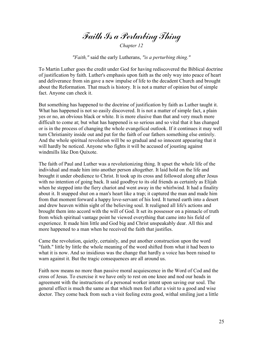# Faith Is a Perturbing Thing

*Chapter 12* 

*"Faith,"* said the early Lutherans, *"is a perturbing thing."*

To Martin Luther goes the credit under God for having rediscovered the Biblical doctrine of justification by faith. Luther's emphasis upon faith as the only way into peace of heart and deliverance from sin gave a new impulse of life to the decadent Church and brought about the Reformation. That much is history. It is not a matter of opinion but of simple fact. Anyone can check it.

But something has happened to the doctrine of justification by faith as Luther taught it. What has happened is not so easily discovered. It is not a matter of simple fact, a plain yes or no, an obvious black or white. It is more elusive than that and very much more difficult to come at; but what has happened is so serious and so vital that it has changed or is in the process of changing the whole evangelical outlook. If it continues it may well turn Christianity inside out and put for the faith of our fathers something else entirely. And the whole spiritual revolution will be so gradual and so innocent appearing that it will hardly be noticed. Anyone who fights it will be accused of jousting against windmills like Don Quixote.

The faith of Paul and Luther was a revolutionizing thing. It upset the whole life of the individual and made him into another person altogether. It laid hold on the life and brought it under obedience to Christ. It took up its cross and followed along after Jesus with no intention of going back. It said goodbye to its old friends as certainly as Elijah when he stepped into the fiery chariot and went away in the whirlwind. It had a finality about it. It snapped shut on a man's heart like a trap; it captured the man and made him from that moment forward a happy love-servant of his lord. It turned earth into a desert and drew heaven within sight of the believing soul. It realigned all life's actions and brought them into accord with the will of God. It set its possessor on a pinnacle of truth from which spiritual vantage point he viewed everything that came into his field of experience. It made him little and God big and Christ unspeakably dear. All this and more happened to a man when he received the faith that justifies.

Came the revolution, quietly, certainly, and put another construction upon the word "faith." little by little the whole meaning of the word shifted from what it had been to what it is now. And so insidious was the change that hardly a voice has been raised to warn against it. But the tragic consequences are all around us.

Faith now means no more than passive moral acquiescence in the Word of Cod and the cross of Jesus. To exercise it we have only to rest on one knee and nod our heads in agreement with the instructions of a personal worker intent upon saving our soul. The general effect is much the same as that which men feel after a visit to a good and wise doctor. They come back from such a visit feeling extra good, withal smiling just a little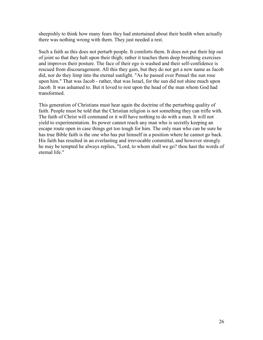sheepishly to think how many fears they had entertained about their health when actually there was nothing wrong with them. They just needed a rest.

Such a faith as this does not perturb people. It comforts them. It does not put their hip out of joint so that they halt upon their thigh; rather it teaches them deep breathing exercises and improves their posture. The face of their ego is washed and their self-confidence is rescued from discouragement. All this they gain, but they do not get a new name as Jacob did, nor do they limp into the eternal sunlight. "As he passed over Penuel the sun rose upon him." That was Jacob - rather, that was Israel, for the sun did not shine much upon Jacob. It was ashamed to. But it loved to rest upon the head of the man whom God had transformed.

This generation of Christians must hear again the doctrine of the perturbing quality of faith. People must be told that the Christian religion is not something they can trifle with. The faith of Christ will command or it will have nothing to do with a man. It will not yield to experimentation. Its power cannot reach any man who is secretly keeping an escape route open in case things get too tough for him. The only man who can be sure he has true Bible faith is the one who has put himself in a position where he cannot go back. His faith has resulted in an everlasting and irrevocable committal, and however strongly he may be tempted he always replies, "Lord, to whom shall we go? thou hast the words of eternal life."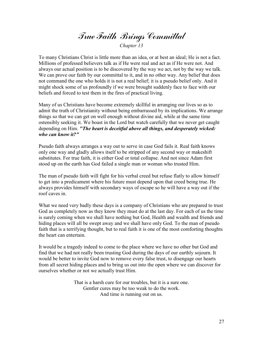#### True Faith Brings Committal *Chapter 13*

To many Christians Christ is little more than an idea, or at best an ideal; He is not a fact. Millions of professed believers talk as if He were real and act as if He were not. And always our actual position is to be discovered by the way we act, not by the way we talk. We can prove our faith by our committal to it, and in no other way. Any belief that does not command the one who holds it is not a real belief; it is a pseudo belief only. And it might shock some of us profoundly if we were brought suddenly face to face with our beliefs and forced to test them in the fires of practical living.

Many of us Christians have become extremely skillful in arranging our lives so as to admit the truth of Christianity without being embarrassed by its implications. We arrange things so that we can get on well enough without divine aid, while at the same time ostensibly seeking it. We boast in the Lord but watch carefully that we never get caught depending on Him. *"The heart is deceitful above all things, and desperately wicked: who can know it?"*

Pseudo faith always arranges a way out to serve in case God fails it. Real faith knows only one way and gladly allows itself to be stripped of any second way or makeshift substitutes. For true faith, it is either God or total collapse. And not since Adam first stood up on the earth has God failed a single man or woman who trusted Him.

The man of pseudo faith will fight for his verbal creed but refuse flatly to allow himself to get into a predicament where his future must depend upon that creed being true. He always provides himself with secondary ways of escape so he will have a way out if the roof caves in.

What we need very badly these days is a company of Christians who are prepared to trust God as completely now as they know they must do at the last day. For each of us the time is surely coming when we shall have nothing but God, Health and wealth and friends and hiding places will all be swept away and we shall have only God. To the man of pseudo faith that is a terrifying thought, but to real faith it is one of the most comforting thoughts the heart can entertain.

It would be a tragedy indeed to come to the place where we have no other but God and find that we had not really been trusting God during the days of our earthly sojourn. It would be better to invite God now to remove every false trust, to disengage our hearts from all secret hiding places and to bring us out into the open where we can discover for ourselves whether or not we actually trust Him.

> That is a harsh cure for our troubles, but it is a sure one. Gentler cures may be too weak to do the work. And time is running out on us.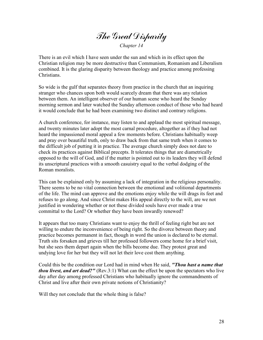# The Great Disparity

*Chapter 14* 

There is an evil which I have seen under the sun and which in its effect upon the Christian religion may be more destructive than Communism, Romanism and Liberalism combined. It is the glaring disparity between theology and practice among professing Christians.

So wide is the gulf that separates theory from practice in the church that an inquiring stranger who chances upon both would scarcely dream that there was any relation between them. An intelligent observer of our human scene who heard the Sunday morning sermon and later watched the Sunday afternoon conduct of those who had heard it would conclude that he had been examining two distinct and contrary religions.

A church conference, for instance, may listen to and applaud the most spiritual message, and twenty minutes later adopt the most carnal procedure, altogether as if they had not heard the impassioned moral appeal a few moments before. Christians habitually weep and pray over beautiful truth, only to draw back from that same truth when it comes to the difficult job of putting it in practice. The average church simply does not dare to check its practices against Biblical precepts. It tolerates things that are diametrically opposed to the will of God, and if the matter is pointed out to its leaders they will defend its unscriptural practices with a smooth casuistry equal to the verbal dodging of the Roman moralists.

This can be explained only by assuming a lack of integration in the religious personality. There seems to be no vital connection between the emotional and volitional departments of the life. The mind can approve and the emotions enjoy while the will drags its feet and refuses to go along. And since Christ makes His appeal directly to the will, are we not justified in wondering whether or not these divided souls have ever made a true committal to the Lord? Or whether they have been inwardly renewed?

It appears that too many Christians want to enjoy the thrill of feeling right but are not willing to endure the inconvenience of being right. So the divorce between theory and practice becomes permanent in fact, though in word the union is declared to be eternal. Truth sits forsaken and grieves till her professed followers come home for a brief visit, but she sees them depart again when the bills become due. They protest great and undying love for her but they will not let their love cost them anything.

Could this be the condition our Lord had in mind when He said, *"Thou hast a name that thou livest, and art dead?"* (Rev.3:1) What can the effect be upon the spectators who live day after day among professed Christians who habitually ignore the commandments of Christ and live after their own private notions of Christianity?

Will they not conclude that the whole thing is false?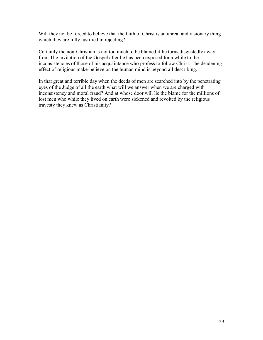Will they not be forced to believe that the faith of Christ is an unreal and visionary thing which they are fully justified in rejecting?

Certainly the non-Christian is not too much to be blamed if he turns disgustedly away from The invitation of the Gospel after he has been exposed for a while to the inconsistencies of those of his acquaintance who profess to follow Christ. The deadening effect of religious make-believe on the human mind is beyond all describing.

In that great and terrible day when the deeds of men are searched into by the penetrating eyes of the Judge of all the earth what will we answer when we are charged with inconsistency and moral fraud? And at whose door will lie the blame for the millions of lost men who while they lived on earth were sickened and revolted by the religious travesty they knew as Christianity?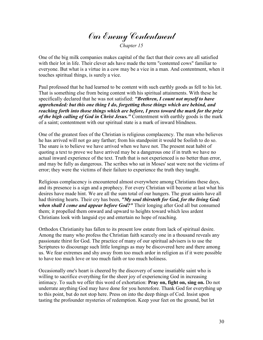#### Our Enemy Contentment *Chapter 15*

One of the big milk companies makes capital of the fact that their cows are all satisfied with their lot in life. Their clever ads have made the term "contented cows" familiar to everyone. But what is a virtue in a cow may be a vice in a man. And contentment, when it touches spiritual things, is surely a vice.

Paul professed that he had learned to be content with such earthly goods as fell to his lot. That is something else from being content with his spiritual attainments. With these he specifically declared that he was not satisfied: *"Brethren, I count not myself to have apprehended: but this one thing I do, forgetting those things which are behind, and reaching forth into those things which are before, I press toward the mark for the prize of the high calling of God in Christ Jesus."* Contentment with earthly goods is the mark of a saint; contentment with our spiritual state is a mark of inward blindness.

One of the greatest foes of the Christian is religious complacency. The man who believes he has arrived will not go any farther; from his standpoint it would be foolish to do so. The snare is to believe we have arrived when we have not. The present neat habit of quoting a text to prove we have arrived may be a dangerous one if in truth we have no actual inward experience of the text. Truth that is not experienced is no better than error, and may be fully as dangerous. The scribes who sat in Moses' seat were not the victims of error; they were the victims of their failure to experience the truth they taught.

Religious complacency is encountered almost everywhere among Christians these days, and its presence is a sign and a prophecy. For every Christian will become at last what his desires have made hint. We are all the sum total of our hungers. The great saints have all had thirsting hearts. Their cry has been, *"My soul thirsteth for God, for the living God: when shall I come and appear before God?"* Their longing after God all but consumed them; it propelled them onward and upward to heights toward which less ardent Christians look with languid eye and entertain no hope of reaching.

Orthodox Christianity has fallen to its present low estate from lack of spiritual desire. Among the many who profess the Christian faith scarcely one in a thousand reveals any passionate thirst for God. The practice of many of our spiritual advisers is to use the Scriptures to discourage such little longings as may be discovered here and there among us. We fear extremes and shy away from too much ardor in religion as if it were possible to have too much love or too much faith or too much holiness.

Occasionally one's heart is cheered by the discovery of some insatiable saint who is willing to sacrifice everything for the sheer joy of experiencing God in increasing intimacy. To such we offer this word of exhortation: **Pray on, fight on, sing on.** Do not underrate anything God may have done for you heretofore. Thank God for everything up to this point, but do not stop here. Press on into the deep things of Cod. Insist upon tasting the profounder mysteries of redemption. Keep your feet on the ground, but let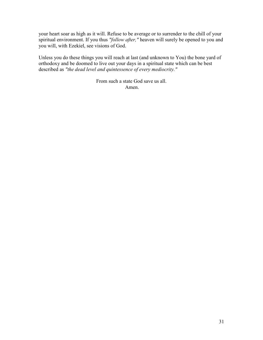your heart soar as high as it will. Refuse to be average or to surrender to the chill of your spiritual environment. If you thus *"follow after,"* heaven will surely be opened to you and you will, with Ezekiel, see visions of God.

Unless you do these things you will reach at last (and unknown to You) the bone yard of orthodoxy and be doomed to live out your days in a spiritual state which can be best described as *"the dead level and quintessence of every mediocrity."*

> From such a state God save us all. Amen.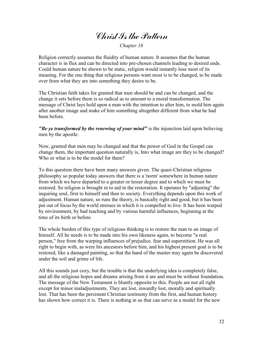## Christ Is the Pattern

*Chapter 16* 

Religion correctly assumes the fluidity of human nature. It assumes that the human character is in flux and can be directed into pre-chosen channels leading to desired ends. Could human nature be shown to be static, religion would instantly lose most of its meaning. For the one thing that religious persons want most is to be changed, to be made over from what they are into something they desire to be.

The Christian faith takes for granted that men should be and can be changed, and the change it sets before them is so radical as to amount to a moral transformation. The message of Christ lays hold upon a man with the intention to alter him, to mold him again after another image and make of him something altogether different from what he had been before.

*"Be ye transformed by the renewing of your mind"* is the injunction laid upon believing men by the apostle.

Now, granted that men may be changed and that the power of God in the Gospel can change them, the important question naturally is, Into what image are they to be changed? Who or what is to be the model for them?

To this question there have been many answers given. The quasi-Christian religious philosophy so popular today answers that there is a 'norm' somewhere in human nature from which we have departed to a greater or lesser degree and to which we must be restored. So religion is brought in to aid in the restoration. It operates by "adjusting" the inquiring soul, first to himself and then to society. Everything depends upon this work of adjustment. Human nature, so runs the theory, is basically right and good, but it has been put out of focus by the world stresses in which it is compelled to live. It has been warped by environment, by bad teaching and by various harmful influences, beginning at the time of its birth or before.

The whole burden of this type of religious thinking is to restore the man to an image of himself. All he needs is to be made into his own likeness again, to become "a real person," free from the warping influences of prejudice. fear and superstition. He was all right to begin with, as were his ancestors before him, and his highest present goal is to be restored, like a damaged painting, so that the hand of the master may again be discovered under the soil and grime of life.

All this sounds just cozy, but the trouble is that the underlying idea is completely false, and all the religious hopes and dreams arising from it are and must be without foundation. The message of the New Testament is bluntly opposite to this. People are not all right except for minor maladjustments. They are lost, inwardly lost, morally and spiritually lost. That has been the persistent Christian testimony from the first, and human history has shown how correct it is. There is nothing in us that can serve as a model for the new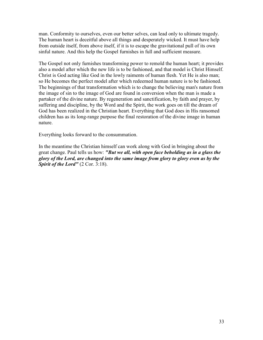man. Conformity to ourselves, even our better selves, can lead only to ultimate tragedy. The human heart is deceitful above all things and desperately wicked. It must have help from outside itself, from above itself, if it is to escape the gravitational pull of its own sinful nature. And this help the Gospel furnishes in full and sufficient measure.

The Gospel not only furnishes transforming power to remold the human heart; it provides also a model after which the new life is to be fashioned, and that model is Christ Himself. Christ is God acting like God in the lowly raiments of human flesh. Yet He is also man; so He becomes the perfect model after which redeemed human nature is to be fashioned. The beginnings of that transformation which is to change the believing man's nature from the image of sin to the image of God are found in conversion when the man is made a partaker of the divine nature. By regeneration and sanctification, by faith and prayer, by suffering and discipline, by the Word and the Spirit, the work goes on till the dream of God has been realized in the Christian heart. Everything that God does in His ransomed children has as its long-range purpose the final restoration of the divine image in human nature.

Everything looks forward to the consummation.

In the meantime the Christian himself can work along with God in bringing about the great change. Paul tells us how: *"But we all, with open face beholding as in a glass the glory of the Lord, are changed into the same image from glory to glory even as by the*  **Spirit of the Lord"** (2 Cor. 3:18).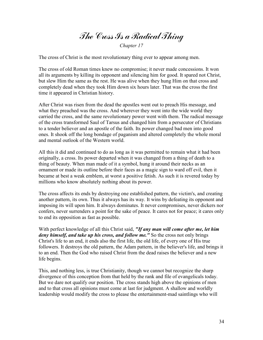# The Cross Is a Radical Thing

*Chapter 17* 

The cross of Christ is the most revolutionary thing ever to appear among men.

The cross of old Roman times knew no compromise; it never made concessions. It won all its arguments by killing its opponent and silencing him for good. It spared not Christ, but slew Him the same as the rest. He was alive when they hung Him on that cross and completely dead when they took Him down six hours later. That was the cross the first time it appeared in Christian history.

After Christ was risen from the dead the apostles went out to preach His message, and what they preached was the cross. And wherever they went into the wide world they carried the cross, and the same revolutionary power went with them. The radical message of the cross transformed Saul of Tarsus and changed him from a persecutor of Christians to a tender believer and an apostle of the faith. Its power changed bad men into good ones. It shook off the long bondage of paganism and altered completely the whole moral and mental outlook of the Western world.

All this it did and continued to do as long as it was permitted to remain what it had been originally, a cross. Its power departed when it was changed from a thing of death to a thing of beauty. When man made of it a symbol, hung it around their necks as an ornament or made its outline before their faces as a magic sign to ward off evil, then it became at best a weak emblem, at worst a positive fetish. As such it is revered today by millions who know absolutely nothing about its power.

The cross affects its ends by destroying one established pattern, the victim's, and creating another pattern, its own. Thus it always has its way. It wins by defeating its opponent and imposing its will upon him. It always dominates. It never compromises, never dickers nor confers, never surrenders a point for the sake of peace. It cares not for peace; it cares only to end its opposition as fast as possible.

With perfect knowledge of all this Christ said, *"If any man will come after me, let him deny himself, and take up his cross, and follow me."* So the cross not only brings Christ's life to an end, it ends also the first life, the old life, of every one of His true followers. It destroys the old pattern, the Adam pattern, in the believer's life, and brings it to an end. Then the God who raised Christ from the dead raises the believer and a new life begins.

This, and nothing less, is true Christianity, though we cannot but recognize the sharp divergence of this conception from that held by the rank and file of evangelicals today. But we dare not qualify our position. The cross stands high above the opinions of men and to that cross all opinions must come at last for judgment. A shallow and worldly leadership would modify the cross to please the entertainment-mad saintlings who will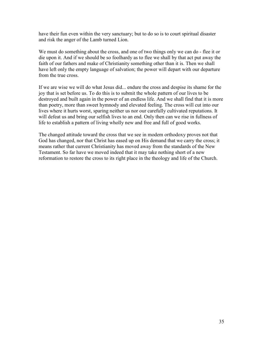have their fun even within the very sanctuary; but to do so is to court spiritual disaster and risk the anger of the Lamb turned Lion.

We must do something about the cross, and one of two things only we can do - flee it or die upon it. And if we should be so foolhardy as to flee we shall by that act put away the faith of our fathers and make of Christianity something other than it is. Then we shall have left only the empty language of salvation; the power will depart with our departure from the true cross.

If we are wise we will do what Jesus did... endure the cross and despise its shame for the joy that is set before us. To do this is to submit the whole pattern of our lives to be destroyed and built again in the power of an endless life. And we shall find that it is more than poetry, more than sweet hymnody and elevated feeling. The cross will cut into our lives where it hurts worst, sparing neither us nor our carefully cultivated reputations. It will defeat us and bring our selfish lives to an end. Only then can we rise in fullness of life to establish a pattern of living wholly new and free and full of good works.

The changed attitude toward the cross that we see in modem orthodoxy proves not that God has changed, nor that Christ has eased up on His demand that we carry the cross; it means rather that current Christianity has moved away from the standards of the New Testament. So far have we moved indeed that it may take nothing short of a new reformation to restore the cross to its right place in the theology and life of the Church.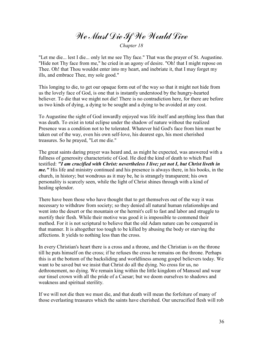# We Must Die If We Would Live

*Chapter 18* 

"Let me die... lest I die... only let me see Thy face." That was the prayer of St. Augustine. "Hide not Thy face from me," he cried in an agony of desire. "Oh! that I might repose on Thee. Oh! that Thou wouldst enter into my heart, and inebriate it, that I may forget my ills, and embrace Thee, my sole good."

This longing to die, to get our opaque form out of the way so that it might not hide from us the lovely face of God, is one that is instantly understood by the hungry-hearted believer. To die that we might not die! There is no contradiction here, for there are before us two kinds of dying, a dying to be sought and a dying to be avoided at any cost.

To Augustine the sight of God inwardly enjoyed was life itself and anything less than that was death. To exist in total eclipse under the shadow of nature without the realized Presence was a condition not to be tolerated. Whatever hid God's face from him must be taken out of the way, even his own self-love, his dearest ego, his most cherished treasures. So he prayed, "Let me die."

The great saints daring prayer was heard and, as might he expected, was answered with a fullness of generosity characteristic of God. He died the kind of death to which Paul testified: *"I am crucified with Christ: nevertheless I live; yet not I, but Christ liveth in me."* His life and ministry continued and his presence is always there, in his books, in the church, in history; but wondrous as it may be, he is strangely transparent; his own personality is scarcely seen, while the light of Christ shines through with a kind of healing splendor.

There have been those who have thought that to get themselves out of the way it was necessary to withdraw from society; so they denied all natural human relationships and went into the desert or the mountain or the hermit's cell to fast and labor and struggle to mortify their flesh. While their motive was good it is impossible to commend their method. For it is not scriptural to believe that the old Adam nature can be conquered in that manner. It is altogether too tough to be killed by abusing the body or starving the affections. It yields to nothing less than the cross.

In every Christian's heart there is a cross and a throne, and the Christian is on the throne till he puts himself on the cross; if he refuses the cross he remains on the throne. Perhaps this is at the bottom of the backsliding and worldliness among gospel believers today. We want to be saved but we insist that Christ do all the dying. No cross for us, no dethronement, no dying. We remain king within the little kingdom of Mansoul and wear our tinsel crown with all the pride of a Caesar; but we doom ourselves to shadows and weakness and spiritual sterility.

If we will not die then we must die, and that death will mean the forfeiture of many of those everlasting treasures which the saints have cherished. Our uncrucified flesh will rob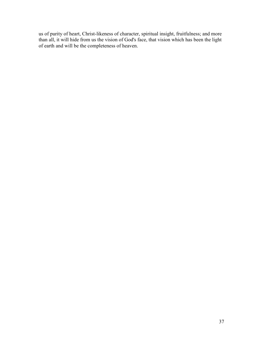us of purity of heart, Christ-likeness of character, spiritual insight, fruitfulness; and more than all, it will hide from us the vision of God's face, that vision which has been the light of earth and will be the completeness of heaven.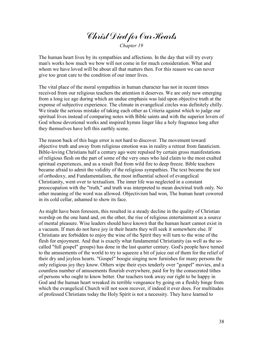# Christ Died for Our Hearts

*Chapter 19* 

The human heart lives by its sympathies and affections. In the day that will try every man's works how much we bow will not come in for much consideration. What and whom we have loved will be about all that matters then. For this reason we can never give too great care to the condition of our inner lives.

The vital place of the moral sympathies in human character has not in recent times received from our religious teachers the attention it deserves. We are only now emerging from a long ice age during which an undue emphasis was laid upon objective truth at the expense of subjective experience. The climate in evangelical circles was definitely chilly. We tirade the serious mistake of taking each other as Criteria against which to judge our spiritual lives instead of comparing notes with Bible saints and with the superior lovers of God whose devotional works and inspired hymns linger like a holy fragrance long after they themselves have left this earthly scene.

The reason back of this huge error is not hard to discover. The movement toward objective truth and away from religious emotion was in reality a retreat from fanaticism. Bible-loving Christians half a century ago were repulsed by certain gross manifestations of religious flesh on the part of some of the very ones who laid claim to the most exalted spiritual experiences, and as a result fled from wild fire to deep freeze. Bible teachers became afraid to admit the validity of the religious sympathies. The text became the test of orthodoxy, and Fundamentalism, the most influential school of evangelical Christianity, went over to textualism. The inner life was neglected in a constant preoccupation with the "truth," and truth was interpreted to mean doctrinal truth only. No other meaning of the word was allowed. Objectivism had won, The human heart cowered in its cold cellar, ashamed to show its face.

As might have been foreseen, this resulted in a steady decline in the quality of Christian worship on the one hand and, on the other, the rise of religious entertainment as a source of mental pleasure. Wise leaders should have known that the human heart cannot exist in a vacuum. If men do not have joy in their hearts they will seek it somewhere else. If Christians are forbidden to enjoy the wine of the Spirit they will turn to the wine of the flesh for enjoyment. And that is exactly what fundamental Christianity (as well as the socalled "full gospel" groups) has done in the last quarter century. God's people have turned to the amusements of the world to try to squeeze a bit of juice out of them for the relief of their dry and joyless hearts. "Gospel" boogie singing now furnishes for many persons the only religious joy they know. Others wipe their eyes tenderly over "gospel" movies, and a countless number of amusements flourish everywhere, paid for by the consecrated tithes of persons who ought to know better. Our teachers took away our right to be happy in God and the human heart wreaked its terrible vengeance by going on a fleshly binge from which the evangelical Church will not soon recover, if indeed it ever does. For multitudes of professed Christians today the Holy Spirit is not a necessity. They have learned to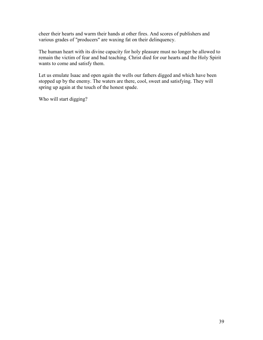cheer their hearts and warm their hands at other fires. And scores of publishers and various grades of "producers" are waxing fat on their delinquency.

The human heart with its divine capacity for holy pleasure must no longer be allowed to remain the victim of fear and bad teaching. Christ died for our hearts and the Holy Spirit wants to come and satisfy them.

Let us emulate Isaac and open again the wells our fathers digged and which have been stopped up by the enemy. The waters are there, cool, sweet and satisfying. They will spring up again at the touch of the honest spade.

Who will start digging?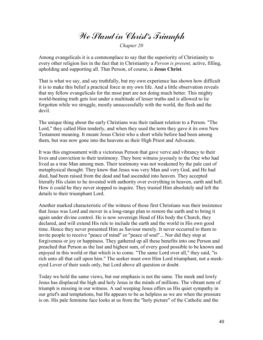## We Stand in Christ's Triumph

*Chapter 20* 

Among evangelicals it is a commonplace to say that the superiority of Christianity to every other religion lies in the fact that in Christianity a *Person is present,* active, filling, upholding and supporting all. That Person, of course, is **Jesus Christ**.

That is what we say, and say truthfully, but my own experience has shown how difficult it is to make this belief a practical force in my own life. And a little observation reveals that my fellow evangelicals for the most part are not doing much better. This mighty world-beating truth gets lost under a multitude of lesser truths and is allowed to lie forgotten while we struggle, mostly unsuccessfully with the world, the flesh and the devil.

The unique thing about the early Christians was their radiant relation to a Person. "The Lord," they called Him tenderly, and when they used the term they gave it its own New Testament meaning. It meant Jesus Christ who a short while before had been among them, but was now gone into the heavens as their High Priest and Advocate.

It was this engrossment with a victorious Person that gave verve and vibrancy to their lives and conviction to their testimony. They bore witness joyously to the One who had lived as a true Man among men. Their testimony was not weakened by the pale cast of metaphysical thought. They knew that Jesus was very Man and very God, and He had died, had been raised from the dead and had ascended into heaven. They accepted literally His claim to he invested with authority over everything in heaven, earth and hell. How it could be they never stopped to inquire. They trusted Him absolutely and left the details to their triumphant Lord.

Another marked characteristic of the witness of those first Christians was their insistence that Jesus was Lord and mover in a long-range plan to restore the earth and to bring it again under divine control. He is now sovereign Head of His body the Church, they declared, and will extend His rule to include the earth and the world in His own good time. Hence they never presented Him as Saviour merely. It never occurred to them to invite people to receive "peace of mind" or "peace of soul"... Nor did they stop at forgiveness or joy or happiness. They gathered up all these benefits into one Person and preached that Person as the last and highest sum, of every good possible to be known and enjoyed in this world or that which is to come. "The same Lord over all," they said, "is rich unto all that call upon him." The seeker must own Him Lord triumphant, not a meekeyed Lover of their souls only, but Lord above all question or doubt.

Today we hold the same views, but our emphasis is not the same. The meek and lowly Jesus has displaced the high and holy Jesus in the minds of millions. The vibrant note of triumph is missing in our witness. A sad weeping Jesus offers us His quiet sympathy in our grief's and temptations, but He appears to be as helpless as we are when the pressure is on. His pale feminine face looks at us from the "holy picture" of the Catholic and the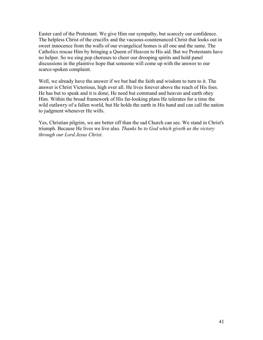Easter card of the Protestant. We give Him our sympathy, but scarcely our confidence. The helpless Christ of the crucifix and the vacuous-countenanced Christ that looks out in sweet innocence from the walls of our evangelical homes is all one and the same. The Catholics rescue Him by bringing a Queen of Heaven to His aid. But we Protestants have no helper. So we sing pop choruses to cheer our drooping spirits and hold panel discussions in the plaintive hope that someone will come up with the answer to our scarce-spoken complaint.

Well, we already have the answer if we but had the faith and wisdom to turn to it. The answer is Christ Victorious, high over all. He lives forever above the reach of His foes. He has but to speak and it is done; He need but command and heaven and earth obey Him. Within the broad framework of His far-looking plans He tolerates for a time the wild outlawry of a fallen world, but He holds the earth in His hand and can call the nation to judgment whenever He wills.

Yes, Christian pilgrim, we are better off than the sad Church can see. We stand in Christ's triumph. Because He lives we live also. *Thanks be to God which giveth us the victory through our Lord Jesus Christ.*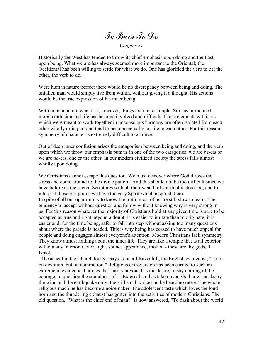#### To Be or To Do *Chapter 21*

Historically the West has tended to throw its chief emphasis upon doing and the East upon being. What we are has always seemed more important to the Oriental; the Occidental has been willing to settle for what we do. One has glorified the verb to be; the other, the verb to do.

Were human nature perfect there would be no discrepancy between being and doing. The unfallen man would simply live from within, without giving it a thought. His actions would be the true expression of his inner being.

With human nature what it is, however, things are not so simple. Sin has introduced moral confusion and life has become involved and difficult. Those elements within us which were meant to work together in unconscious harmony are often isolated from each other wholly or in part and tend to become actually hostile to each other. For this reason symmetry of character is extremely difficult to achieve.

Out of deep inner confusion arises the antagonism between being and doing, and the verb upon which we throw our emphasis puts us in one of the two catagories: we are *be*-ers or we are *do*-ers, one or the other. In our modem civilized society the stress falls almost wholly upon doing.

We Christians cannot escape this question. We must discover where God throws the stress and come around to the divine pattern. And this should not be too difficult since we have before us the sacred Scriptures with all their wealth of spiritual instruction, and to interpret those Scriptures we have the very Spirit which inspired them. In spite of all our opportunity to know the truth, most of us are still slow to learn. The tendency to accept without question and follow without knowing why is very strong in us. For this reason whatever the majority of Christians hold at any given time is sure to be accepted as true and right beyond a doubt. It is easier to imitate than to originate; it is easier and, for the time being, safer to fall into step without asking too many questions about where the parade is headed. This is why being has ceased to have much appeal for people and doing engages almost everyone's attention. Modern Christians lack symmetry. They know almost nothing about the inner life. They are like a temple that is all exterior without any interior. Color, light, sound, appearance, motion - these are thy gods, 0 Israel.

"The accent in the Church today," says Leonard Ravenhill, the English evangelist, "is not on devotion, but on commotion." Religious extroversion has been carried to such an extreme in evangelical circles that hardly anyone has the desire, to say nothing of the courage, to question the soundness of it. Externalism has taken over. God now speaks by the wind and the earthquake only; the still small voice can be heard no more. The whole religious machine has become a noisemaker. The adolescent taste which loves the loud horn and the thundering exhaust has gotten into the activities of modern Christians. The old question, "What is the chief end of man?" is now answered, "To dash about the world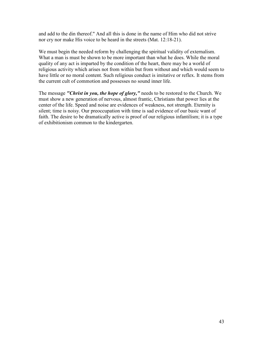and add to the din thereof." And all this is done in the name of Him who did not strive nor cry nor make His voice to be heard in the streets (Mat. 12:18-21).

We must begin the needed reform by challenging the spiritual validity of externalism. What a man is must be shown to be more important than what he does. While the moral quality of any act is imparted by the condition of the heart, there may be a world of religious activity which arises not from within but from without and which would seem to have little or no moral content. Such religious conduct is imitative or reflex. It stems from the current cult of commotion and possesses no sound inner life.

The message *"Christ in you, the hope of glory,"* needs to be restored to the Church. We must show a new generation of nervous, almost frantic, Christians that power lies at the center of the life. Speed and noise are evidences of weakness, not strength. Eternity is silent; time is noisy. Our preoccupation with time is sad evidence of our basic want of faith. The desire to be dramatically active is proof of our religious infantilism; it is a type of exhibitionism common to the kindergarten.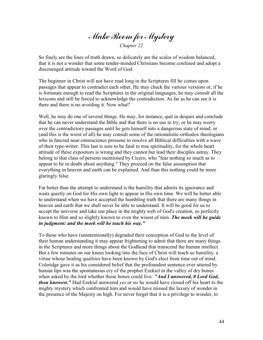#### Make Room for Mystery *Chapter 22*

So finely are the lines of truth drawn, so delicately are the scales of wisdom balanced, that it is not a wonder that some tender-minded Christians become confused and adopt a discouraged attitude toward the Word of God.

The beginner in Christ will not have read long in the Scriptures fill he comes upon passages that appear to contradict each other, He may check the various versions or, if he is fortunate enough to read the Scriptures in the original languages, he may consult all the lexicons and still be forced to acknowledge the contradiction. As far as he can see it is there and there is no avoiding it. Now what?

Well, he may do one of several things. He may, for instance, quit in despair and conclude that he can never understand the Bible and that there is no use to try; or he may worry over the contradictory passages until he gets himself into a dangerous state of mind; or (and this is the worst of all) he may consult some of the rationalistic-orthodox theologians who in fancied near-omniscience presume to resolve all Biblical difficulties with a wave of their type-writer. This last is sure to be fatal to true spirituality, for the whole heart attitude of these expositors is wrong and they cannot but lead their disciples astray. They belong to that class of persons mentioned by Cicero, who "fear nothing so much as to appear to be in doubt about anything." They proceed on the false assumption that everything in heaven and earth can be explained. And than this nothing could be more glaringly false.

Far better than the attempt to understand is the humility that admits its ignorance and waits quietly on God for His own light to appear in His own time. We will be better able to understand when we have accepted the humbling truth that there are many things in heaven and earth that we shall never be able to understand. It will be good for us to accept the universe and take our place in the mighty web of God's creation, so perfectly known to Him and so slightly known to even the wisest of men. *The meek will he guide in judgment: and the meek will he teach his way."*

To those who have (unintentionally) degraded their conception of God to the level of their human understanding it may appear frightening to admit that there are many things in the Scriptures and more things about the Godhead that transcend the human intellect. But a few minutes on our knees looking into the face of Christ will teach us humility, a virtue whose healing qualities have been known by God's elect from time out of mind. Coleridge gave it as his considered belief that the profoundest sentence ever uttered by human lips was the spontaneous cry of the prophet Ezekiel in the valley of dry bones when asked by the lord whether those bones could live: *"And I answered, 0 Lord God, thou knowest."* Had Ezekiel answered *yes* or *no* he would have closed off his heart to the mighty mystery which confronted him and would have missed the luxury of wonder in the presence of the Majesty on high. For never forget that it is a privilege to wonder, to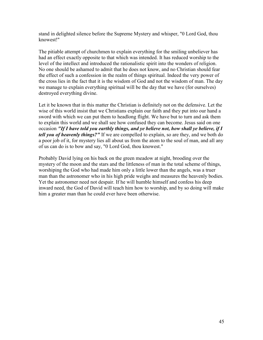stand in delighted silence before the Supreme Mystery and whisper, "0 Lord God, thou knowest!"

The pitiable attempt of churchmen to explain everything for the smiling unbeliever has had an effect exactly opposite to that which was intended. It has reduced worship to the level of the intellect and introduced the rationalistic spirit into the wonders of religion. No one should be ashamed to admit that he does not know, and no Christian should fear the effect of such a confession in the realm of things spiritual. Indeed the very power of the cross lies in the fact that it is the wisdom of God and not the wisdom of man. The day we manage to explain everything spiritual will be the day that we have (for ourselves) destroyed everything divine.

Let it be known that in this matter the Christian is definitely not on the defensive. Let the wise of this world insist that we Christians explain our faith and they put into our hand a sword with which we can put them to headlong flight. We have but to turn and ask them to explain this world and we shall see how confused they can become. Jesus said on one occasion *"If I have told you earthly things, and ye believe not, how shall ye believe, if I tell you of heavenly things?"* If we are compelled to explain, so are they, and we both do a poor job of it, for mystery lies all about us from the atom to the soul of man, and all any of us can do is to bow and say, "0 Lord God, thou knowest."

Probably David lying on his back on the green meadow at night, brooding over the mystery of the moon and the stars and the littleness of man in the total scheme of things, worshiping the God who had made him only a little lower than the angels, was a truer man than the astronomer who in his high pride weighs and measures the heavenly bodies. Yet the astronomer need not despair. If he will humble himself and confess his deep inward need, the God of David will teach him how to worship, and by so doing will make him a greater man than he could ever have been otherwise.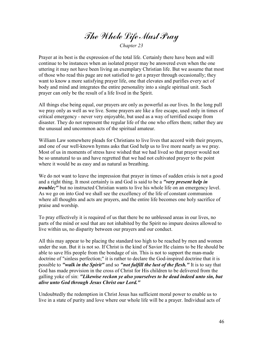#### The Whole Life Must Pray *Chapter 23*

Prayer at its best is the expression of the total life. Certainly there have been and will continue to be instances when an isolated prayer may be answered even when the one uttering it may not have been living an exemplary Christian life. But we assume that most of those who read this page are not satisfied to get a prayer through occasionally; they want to know a more satisfying prayer life, one that elevates and purifies every act of body and mind and integrates the entire personality into a single spiritual unit. Such prayer can only be the result of a life lived in the Spirit.

All things else being equal, our prayers are only as powerful as our lives. In the long pull we pray only as well as we live. Some prayers are like a fire escape, used only in times of critical emergency - never very enjoyable, but used as a way of terrified escape from disaster. They do not represent the regular life of the one who offers them; rather they are the unusual and uncommon acts of the spiritual amateur.

William Law somewhere pleads for Christians to live lives that accord with their prayers, and one of our well-known hymns asks that God help us to live more nearly as we pray. Most of us in moments of stress have wished that we had lived so that prayer would not be so unnatural to us and have regretted that we had not cultivated prayer to the point where it would be as easy and as natural as breathing.

We do not want to leave the impression that prayer in times of sudden crisis is not a good and a right thing. It most certainly is and God is said to be a *"very present help in trouble;*" but no instructed Christian wants to live his whole life on an emergency level. As we go on into God we shall see the excellency of the life of constant communion where all thoughts and acts are prayers, and the entire life becomes one holy sacrifice of praise and worship.

To pray effectively it is required of us that there be no unblessed areas in our lives, no parts of the mind or soul that are not inhabited by the Spirit no impure desires allowed to live within us, no disparity between our prayers and our conduct.

All this may appear to be placing the standard too high to be reached by men and women under the sun. But it is not so. If Christ is the kind of Savior He claims to be He should be able to save His people from the bondage of sin. This is not to support the man-made doctrine of "sinless perfection;" it is rather to declare the God-inspired doctrine that it is possible to *"walk in the Spirit"* and so *"not fulfill the lust of the flesh."* It is to say that God has made provision in the cross of Christ for His children to be delivered from the galling yoke of sin: *"Likewise reckon ye also yourselves to be dead indeed unto sin, but alive unto God through Jesus Christ our Lord."*

Undoubtedly the redemption in Christ Jesus has sufficient moral power to enable us to live in a state of purity and love where our whole life will be a prayer. Individual acts of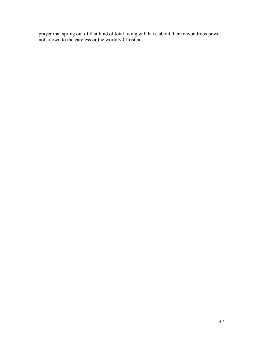prayer that spring out of that kind of total living will have about them a wondrous power not known to the careless or the worldly Christian.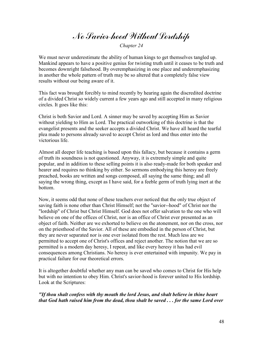## No Savior-hood Without Lordship

*Chapter 24* 

We must never underestimate the ability of human kings to get themselves tangled up. Mankind appears to have a positive genius for twisting truth until it ceases to be truth and becomes downright falsehood. By overemphasizing in one place and underemphasizing in another the whole pattern of truth may be so altered that a completely false view results without our being aware of it.

This fact was brought forcibly to mind recently by hearing again the discredited doctrine of a divided Christ so widely current a few years ago and still accepted in many religious circles. It goes like this:

Christ is both Savior and Lord. A sinner may be saved by accepting Him as Savior without yielding to Him as Lord. The practical outworking of this doctrine is that the evangelist presents and the seeker accepts a divided Christ. We have all heard the tearful plea made to persons already saved to accept Christ as lord and thus enter into the victorious life.

Almost all deeper life teaching is based upon this fallacy, but because it contains a germ of truth its soundness is not questioned. Anyway, it is extremely simple and quite popular, and in addition to these selling points it is also ready-made for both speaker and hearer and requires no thinking by either. So sermons embodying this heresy are freely preached, books are written and songs composed, all saying the same thing; and all saying the wrong thing, except as I have said, for a feeble germ of truth lying inert at the bottom.

Now, it seems odd that none of these teachers ever noticed that the only true object of saving faith is none other than Christ Himself; not the "savior--hood" of Christ nor the "lordship" of Christ but Christ Himself. God does not offer salvation to the one who will believe on one of the offices of Christ, nor is an office of Christ ever presented as an object of faith. Neither are we exhorted to believe on the atonement, nor on the cross, nor on the priesthood of the Savior. All of these are embodied in the person of Christ, but they are never separated nor is one ever isolated from the rest. Much less are we permitted to accept one of Christ's offices and reject another. The notion that we are so permitted is a modern day heresy, I repeat, and like every heresy it has had evil consequences among Christians. No heresy is ever entertained with impunity. We pay in practical failure for our theoretical errors.

It is altogether doubtful whether any man can be saved who comes to Christ for His help but with no intention to obey Him. Christ's savior-hood is forever united to His lordship. Look at the Scriptures:

#### *"If thou shalt confess with thy mouth the lord Jesus, and shalt believe in thine heart that God hath raised him from the dead, thou shalt be saved . . . for the same Lord over*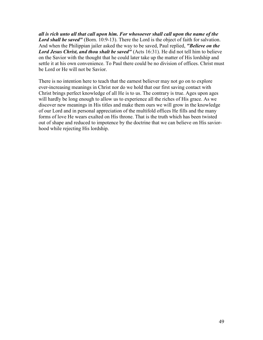*all is rich unto all that call upon him. For whosoever shall call upon the name of the Lord shall be saved"* (Born. 10:9-13). There the Lord is the object of faith for salvation. And when the Philippian jailer asked the way to be saved, Paul replied, *"Believe on the Lord Jesus Christ, and thou shalt be saved"* (Acts 16:31). He did not tell him to believe on the Savior with the thought that he could later take up the matter of His lordship and settle it at his own convenience. To Paul there could be no division of offices. Christ must be Lord or He will not be Savior.

There is no intention here to teach that the earnest believer may not go on to explore ever-increasing meanings in Christ nor do we hold that our first saving contact with Christ brings perfect knowledge of all He is to us. The contrary is true. Ages upon ages will hardly be long enough to allow us to experience all the riches of His grace. As we discover new meanings in His titles and make them ours we will grow in the knowledge of our Lord and in personal appreciation of the multifold offices He fills and the many forms of love He wears exalted on His throne. That is the truth which has been twisted out of shape and reduced to impotence by the doctrine that we can believe on His saviorhood while rejecting His lordship.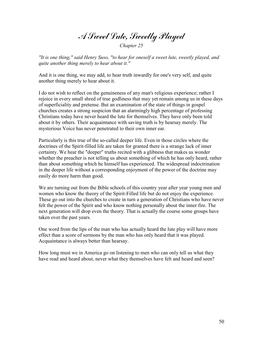A Sweet Lute, Sweetly Played

*Chapter 25* 

*"It is one thing," said Henry Suso, "to hear for oneself a sweet lute, sweetly played, and quite another thing merely to hear about it."*

And it is one thing, we may add, to hear truth inwardly for one's very self, and quite another thing merely to hear about it.

I do not wish to reflect on the genuineness of any man's religious experience; rather I rejoice in every small shred of true godliness that may yet remain among us in these days of superficiality and pretense. But an examination of the state of things in gospel churches creates a strong suspicion that an alarmingly high percentage of professing Christians today have never heard the lute for themselves. They have only been told about it by others. Their acquaintance with saving truth is by hearsay merely. The mysterious Voice has never penetrated to their own inner ear.

Particularly is this true of the so-called deeper life. Even in those circles where the doctrines of the Spirit-filled life are taken for granted there is a strange lack of inner certainty. We hear the "deeper" truths recited with a glibness that makes us wonder whether the preacher is not telling us about something of which he has only heard, rather than about something which he himself has experienced. The widespread indoctrination in the deeper life without a corresponding enjoyment of the power of the doctrine may easily do more harm than good.

We are turning out from the Bible schools of this country year after year young men and women who know the theory of the Spirit-Filled life but do not enjoy the experience. These go out into the churches to create in turn a generation of Christians who have never felt the power of the Spirit and who know nothing personally about the inner fire. The next generation will drop even the theory. That is actually the course some groups have taken over the past years.

One word from the lips of the man who has actually heard the lute play will have more effect than a score of sermons by the man who has only heard that it was played. Acquaintance is always better than hearsay.

How long must we in America go on listening to men who can only tell us what they have read and heard about, never what they themselves have felt and heard and seen?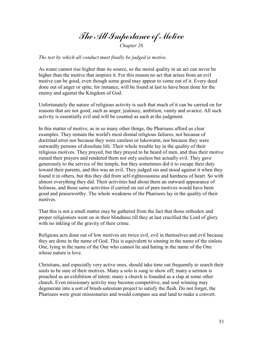# The All-Importance of Motive

*Chapter 26* 

*The test by which all conduct must finally be judged is motive.* 

As water cannot rise higher than its source, so the moral quality in an act can never be higher than the motive that inspires it. For this reason no act that arises from an evil motive can be good, even though some good may appear to come out of it. Every deed done out of anger or spite, for instance, will be found at last to have been done for the enemy and against the Kingdom of God.

Unfortunately the nature of religious activity is such that much of it can be carried on for reasons that are not good, such as anger, jealousy, ambition, vanity and avarice. All such activity is essentially evil and will be counted as such at the judgment.

In this matter of motive, as in so many other things, the Pharisees afford us clear examples. They remain the world's most dismal religious failures, not because of doctrinal error nor because they were careless or lukewarm, nor because they were outwardly persons of dissolute life. Their whole trouble lay in the quality of their religious motives. They prayed, but they prayed to be heard of men, and thus their motive ruined their prayers and rendered them not only useless but actually evil. They gave generously to the service of the temple, but they sometimes did it to escape their duty toward their parents, and this was an evil. They judged sin and stood against it when they found it in others, but this they did from self-righteousness and hardness of heart. So with almost everything they did. Their activities had about them an outward appearance of holiness, and those same activities if carried on out of pure motives would have been good and praiseworthy. The whole weakness of the Pharisees lay in the quality of their motives.

That this is not a small matter may be gathered from the fact that those orthodox and proper religionists went on in their blindness till they at last crucified the Lord of glory with no inkling of the gravity of their crime.

Religious acts done out of low motives are twice evil, evil in themselves and evil because they are done in the name of God. This is equivalent to sinning in the name of the sinless One, lying in the name of the One who cannot lie and hating in the name of the One whose nature is love.

Christians, and especially very active ones, should take time out frequently to search their souls to be sure of their motives. Many a solo is sung to show off; many a sermon is preached as an exhibition of talent; many a church is founded as a slap at some other church. Even missionary activity may become competitive, and soul winning may degenerate into a sort of brush-salesman project to satisfy the flesh. Do not forget, the Pharisees were great missionaries and would compass sea and land to make a convert.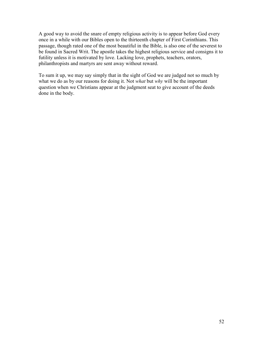A good way to avoid the snare of empty religious activity is to appear before God every once in a while with our Bibles open to the thirteenth chapter of First Corinthians. This passage, though rated one of the most beautiful in the Bible, is also one of the severest to be found in Sacred Writ. The apostle takes the highest religious service and consigns it to futility unless it is motivated by love. Lacking love, prophets, teachers, orators, philanthropists and martyrs are sent away without reward.

To sum it up, we may say simply that in the sight of God we are judged not so much by what we do as by our reasons for doing it. Not *what* but *why* will be the important question when we Christians appear at the judgment seat to give account of the deeds done in the body.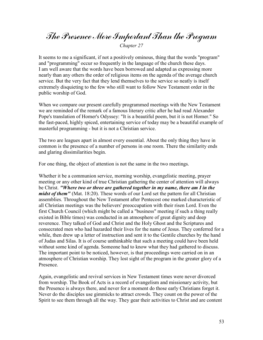### The Presence More Important Than the Program *Chapter 27*

It seems to me a significant, if not a positively ominous, thing that the words "program" and "programming" occur so frequently in the language of the church these days. I am well aware that the words have been borrowed and adapted as expressing more nearly than any others the order of religious items on the agenda of the average church service. But the very fact that they lend themselves to the service so neatly is itself extremely disquieting to the few who still want to follow New Testament order in the public worship of God.

When we compare our present carefully programmed meetings with the New Testament we are reminded of the remark of a famous literary critic after he had read Alexander Pope's translation of Homer's Odyssey: "It is a beautiful poem, but it is not Homer." So the fast-paced, highly spiced, entertaining service of today may be a beautiful example of masterful programming - but it is not a Christian service.

The two are leagues apart in almost every essential. About the only thing they have in common is the presence of a number of persons in one room. There the similarity ends and glaring dissimilarities begin.

For one thing, the object of attention is not the same in the two meetings.

Whether it be a communion service, morning worship, evangelistic meeting, prayer meeting or any other kind of true Christian gathering the center of attention will always be Christ. *"Where two or three are gathered together in my name, there am I in the midst of them"* (Mat. 18:20). These words of our Lord set the pattern for all Christian assemblies. Throughout the New Testament after Pentecost one marked characteristic of all Christian meetings was the believers' preoccupation with their risen Lord. Even the first Church Council (which might be called a "business" meeting if such a thing really existed in Bible times) was conducted in an atmosphere of great dignity and deep reverence. They talked of God and Christ and the Holy Ghost and the Scriptures and consecrated men who had hazarded their lives for the name of Jesus. They conferred for a while, then drew up a letter of instruction and sent it to the Gentile churches by the hand of Judas and Silas. It is of course unthinkable that such a meeting could have been held without some kind of agenda. Someone had to know what they had gathered to discuss. The important point to be noticed, however, is that proceedings were carried on in an atmosphere of Christian worship. They lost sight of the program in the greater glory of a Presence.

Again, evangelistic and revival services in New Testament times were never divorced from worship. The Book of Acts is a record of evangelism and missionary activity, but the Presence is always there, and never for a moment do those early Christians forget it. Never do the disciples use gimmicks to attract crowds. They count on the power of the Spirit to see them through all the way. They gear their activities to Christ and are content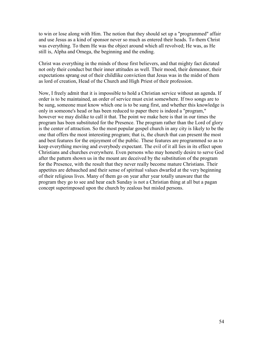to win or lose along with Him. The notion that they should set up a "programmed" affair and use Jesus as a kind of sponsor never so much as entered their heads. To them Christ was everything. To them He was the object around which all revolved; He was, as He still is, Alpha and Omega, the beginning and the ending.

Christ was everything in the minds of those first believers, and that mighty fact dictated not only their conduct but their inner attitudes as well. Their mood, their demeanor, their expectations sprang out of their childlike conviction that Jesus was in the midst of them as lord of creation, Head of the Church and High Priest of their profession.

Now, I freely admit that it is impossible to hold a Christian service without an agenda. If order is to be maintained, an order of service must exist somewhere. If two songs are to be sung, someone must know which one is to be sung first, and whether this knowledge is only in someone's head or has been reduced to paper there is indeed a "program," however we may dislike to call it that. The point we make here is that in our times the program has been substituted for the Presence. The program rather than the Lord of glory is the center of attraction. So the most popular gospel church in any city is likely to be the one that offers the most interesting program; that is, the church that can present the most and best features for the enjoyment of the public. These features are programmed so as to keep everything moving and everybody expectant. The evil of it all lies in its effect upon Christians and churches everywhere. Even persons who may honestly desire to serve God after the pattern shown us in the mount are deceived by the substitution of the program for the Presence, with the result that they never really become mature Christians. Their appetites are debauched and their sense of spiritual values dwarfed at the very beginning of their religious lives. Many of them go on year after year totally unaware that the program they go to see and hear each Sunday is not a Christian thing at all but a pagan concept superimposed upon the church by zealous but misled persons.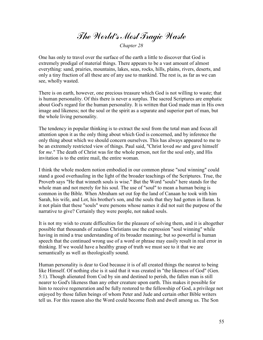## The World's Most Tragic Waste

*Chapter 28* 

One has only to travel over the surface of the earth a little to discover that God is extremely prodigal of material things. There appears to be a vast amount of almost everything: sand, prairies, mountains, lakes, seas, rocks, hills, plains, rivers, deserts, and only a tiny fraction of all these are of any use to mankind. The rest is, as far as we can see, wholly wasted.

There is on earth, however, one precious treasure which God is not willing to waste; that is human personality. Of this there is never a surplus. The sacred Scriptures are emphatic about God's regard for the human personality. It is written that God made man in His own image and likeness; not the soul or the spirit as a separate and superior part of man, but the whole living personality.

The tendency in popular thinking is to extract the soul from the total man and focus all attention upon it as the only thing about which God is concerned, and by inference the only thing about which we should concern ourselves. This has always appeared to me to be an extremely restricted view of things. Paul said, "Christ loved *me* and gave himself for *me*." The death of Christ was for the whole person, not for the soul only, and His invitation is to the entire mail, the entire woman.

I think the whole modern notion embodied in our common phrase "soul winning" could stand a good overhauling in the light of the broader teachings of the Scriptures. True, the Proverb says "He that winneth souls is wise." But the Word "souls" here stands for the whole man and not merely for his soul. The use of "soul" to mean a human being is common in the Bible. When Abraham set out fop the land of Canaan he took with him Sarah, his wife, and Lot, his brother's son, and the souls that they had gotten in Ilaran. Is it not plain that these "souls" were persons whose names it did not suit the purpose of the narrative to give? Certainly they were people, not naked souls.

It is not my wish to create difficulties for the pleasure of solving them, and it is altogether possible that thousands of zealous Christians use the expression "soul winning" while having in mind a true understanding of its broader meaning; but so powerful is human speech that the continued wrong use of a word or phrase may easily result in real error in thinking. If we would have a healthy grasp of truth we must see to it that we are semantically as well as theologically sound.

Human personality is dear to God because it is of all created things the nearest to being like Himself. Of nothing else is it said that it was created in "the likeness of God" (Gen. 5:1). Though alienated from Cod by sin and destined to perish, the fallen man is still nearer to God's likeness than any other creature upon earth. This makes it possible for him to receive regeneration and be fully restored to the fellowship of God, a privilege not enjoyed by those fallen beings of whom Peter and Jude and certain other Bible writers tell us. For this reason also the Word could become flesh and dwell among us. The Son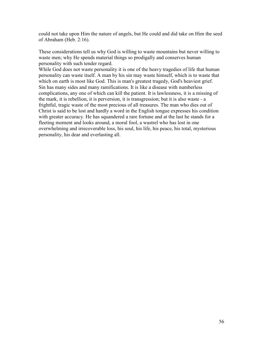could not take upon Him the nature of angels, but He could and did take on Him the seed of Abraham (Heb. 2:16).

These considerations tell us why God is willing to waste mountains but never willing to waste men; why He spends material things so prodigally and conserves human personality with such tender regard.

While God does not waste personality it is one of the heavy tragedies of life that human personality can waste itself. A man by his sin may waste himself, which is to waste that which on earth is most like God. This is man's greatest tragedy, God's heaviest grief. Sin has many sides and many ramifications. It is like a disease with numberless complications, any one of which can kill the patient. It is lawlessness, it is a missing of the mark, it is rebellion, it is perversion, it is transgression; but it is also waste - a frightful, tragic waste of the most precious of all treasures. The man who dies out of Christ is said to be lost and hardly a word in the English tongue expresses his condition with greater accuracy. He has squandered a rare fortune and at the last he stands for a fleeting moment and looks around, a moral fool, a wastrel who has lost in one overwhelming and irrecoverable loss, his soul, his life, his peace, his total, mysterious personality, his dear and everlasting all.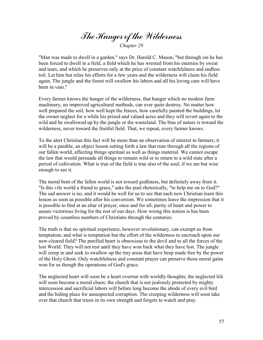#### The Hunger of the Wilderness *Chapter 29*

"Man was made to dwell in a garden," says Dr. Harold C. Mason, "but through sin he has been forced to dwell in a field, a field which he has wrested from his enemies by sweat and tears, and which he preserves only at the price of constant watchfulness and endless toil. Let him but relax his efforts for a few years and the wilderness will claim his field again. The jungle and the forest will swallow his labors and all his loving care will have been in vain."

Every farmer knows the hunger of the wilderness, that hunger which no modem farm machinery, no improved agricultural methods, can ever quite destroy. No matter how well prepared the soil, how well kept the fences, how carefully painted the buildings, let the owner neglect for a while his prized and valued acres and they will revert again to the wild and be swallowed up by the jungle or the wasteland. The bias of nature is toward the wilderness, never toward the fruitful field. That, we repeat, every farmer knows.

To the alert Christian this fact will be more than an observation of interest to farmers; it will be a parable, an object lesson setting forth a law that runs through all the regions of our fallen world, affecting things spiritual as well as things material. We cannot escape the law that would persuade all things to remain wild or to return to a wild state after a period of cultivation. What is true of the field is true also of the soul, if we are but wise enough to see it.

The moral bent of the fallen world is not toward godliness, but definitely away from it. "Is this vile world a friend to grace," asks the poet rhetorically, "to help me on to God?" The sad answer is no, and it would be well for us to see that each new Christian learn this lesson as soon as possible after his conversion. We sometimes leave the impression that it is possible to find at an altar of prayer, once and for all, purity of heart and power to assure victorious living for the rest of our days. How wrong this notion is has been proved by countless numbers of Christians through the centuries.

The truth is that no spiritual experience, however revolutionary, can exempt us from temptation; and what is temptation but the effort of the wilderness to encroach upon our new-cleared field? The purified heart is obnoxious to the devil and to all the forces of the lost World. They will not rest until they have won back what they have lost. The jungle will creep in and seek to swallow up the tiny areas that have beep made free by the power of the Holy Ghost. Only watchfulness and constant prayer can preserve those moral gains won for us though the operations of God's grace.

The neglected heart will soon be a heart overrun with worldly thoughts; the neglected life will soon become a moral chaos; the church that is not jealously protected by mighty intercession and sacrificial labors will before long become the abode of every evil bird and the hiding place for unsuspected corruption. The creeping wilderness will soon take over that church that trusts in its own strength and forgets to watch and pray.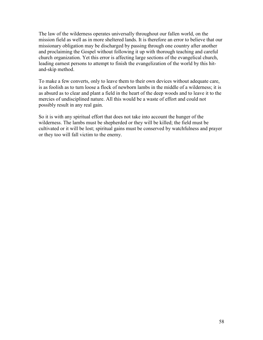The law of the wilderness operates universally throughout our fallen world, on the mission field as well as in more sheltered lands. It is therefore an error to believe that our missionary obligation may be discharged by passing through one country after another and proclaiming the Gospel without following it up with thorough teaching and careful church organization. Yet this error is affecting large sections of the evangelical church, leading earnest persons to attempt to finish the evangelization of the world by this hitand-skip method.

To make a few converts, only to leave them to their own devices without adequate care, is as foolish as to turn loose a flock of newborn lambs in the middle of a wilderness; it is as absurd as to clear and plant a field in the heart of the deep woods and to leave it to the mercies of undisciplined nature. All this would be a waste of effort and could not possibly result in any real gain.

So it is with any spiritual effort that does not take into account the hunger of the wilderness. The lambs must be shepherded or they will be killed; the field must be cultivated or it will be lost; spiritual gains must be conserved by watchfulness and prayer or they too will fall victim to the enemy.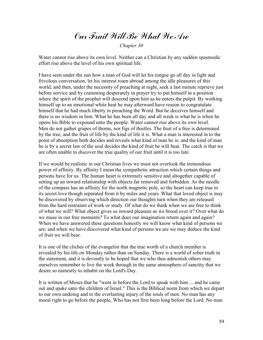## Our Fruit Will Be What We Are

*Chapter 30* 

Water cannot rise above its own level. Neither can a Christian by any sudden spasmodic effort rise above the level of his own spiritual life.

I have seen under the sun how a man of God will let his tongue go all day in light and frivolous conversation, let his interest roam abroad among the idle pleasures of this world, and then, under the necessity of preaching at night, seek a last minute reprieve just before service and by cramming desperately in prayer try to put himself in a position where the spirit of the prophet will descend upon him as he enters the pulpit. By working himself up to an emotional white heat he may afterward have reason to congratulate himself that he had much liberty in preaching the Word. But he deceives himself and there is no wisdom in him. What he has been all day and all week is what he is when he opens his Bible to expound unto the people. Water cannot rise above its own level. Men do not gather grapes of thorns, nor figs of thistles. The fruit of a free is determined by the tree, and the fruit of life by the kind of life it is. What a man is interested in to the point of absorption both decides and reveals what kind of man he is; and the kind of man he is by a secret law of the soul decides the kind of fruit he will bear. The catch is that we are often unable to discover the true quality of our fruit until it is too late.

If we would be realistic in our Christian lives we must not overlook the tremendous power of affinity. By affinity I mean the sympathetic attraction which certain things and persons have for us. The human heart is extremely sensitive and altogether capable of setting up an inward relationship with objects far removed and forbidden. As the needle of the compass has an affinity for the north magnetic pole, so the heart can keep true to its secret love though separated from it by miles and years. What that loved object is may be discovered by observing which direction our thoughts turn when they are released from the hard restraints of work or study. Of what do we think when we are free to think of what we will? What object gives us inward pleasure as we brood over it? Over what do we muse in our free moments? To what does our imagination return again and again? When we have answered these questions honestly we will know what kind of persons we are; and when we have discovered what kind of persons we are we may deduce the kind of fruit we will bear.

It is one of the cliches of the evangelist that the true worth of a church member is revealed by his life on Monday rather than on Sunday. There is a world of sober truth in the statement, and it is devoutly to be hoped that we who thus admonish others may ourselves remember to live the week through in the same atmosphere of sanctity that we desire so earnestly to inhabit on the Lord's Day.

It is written of Moses that he "went in before the Lord to speak with him ... and he came out and spake unto the children of Israel." This is the Biblical norm from which we depart to our own undoing and to the everlasting injury of the souls of men. No man has any moral right to go before the people, Who has not first been long before the Lord. No man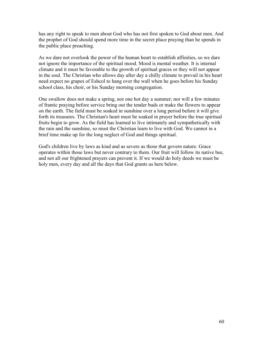has any right to speak to men about God who has not first spoken to God about men. And the prophet of God should spend more time in the secret place praying than he spends in the public place preaching.

As we dare not overlook the power of the human heart to establish affinities, so we dare not ignore the importance of the spiritual mood. Mood is mental weather. It is internal climate and it must be favorable to the growth of spiritual graces or they will not appear in the soul. The Christian who allows day after day a chilly climate to prevail in his heart need expect no grapes of Eshcol to hang over the wall when he goes before his Sunday school class, his choir, or his Sunday morning congregation.

One swallow does not make a spring, nor one hot day a summer; nor will a few minutes of frantic praying before service bring out the tender buds or make the flowers to appear on the earth. The field must be soaked in sunshine over a long period before it will give forth its treasures. The Christian's heart must be soaked in prayer before the true spiritual fruits begin to grow. As the field has learned to live intimately and sympathetically with the rain and the sunshine, so must the Christian learn to live with God. We cannot in a brief time make up for the long neglect of God and things spiritual.

God's children live by laws as kind and as severe as those that govern nature. Grace operates within those laws but never contrary to them. Our fruit will follow its native bee, and not all our frightened prayers can prevent it. If we would do holy deeds we must be holy men, every day and all the days that God grants us here below.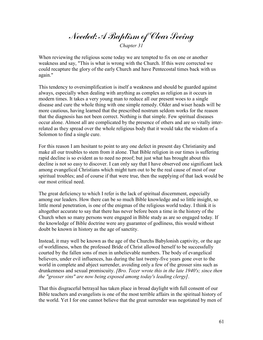### Needed: A Baptism of Clear Seeing *Chapter 31*

When reviewing the religious scene today we are tempted to fix on one or another weakness and say, "This is what is wrong with the Church. If this were corrected we could recapture the glory of the early Church and have Pentecostal times back with us again."

This tendency to oversimplification is itself a weakness and should be guarded against always, especially when dealing with anything as complex as religion as it occurs in modern times. It takes a very young man to reduce all our present woes to a single disease and cure the whole thing with one simple remedy. Older and wiser heads will be more cautious, having learned that the prescribed nostrum seldom works for the reason that the diagnosis has not been correct. Nothing is that simple. Few spiritual diseases occur alone. Almost all are complicated by the presence of others and are so vitally interrelated as they spread over the whole religious body that it would take the wisdom of a Solomon to find a single cure.

For this reason I am hesitant to point to any one defect in present day Christianity and make all our troubles to stem from it alone. That Bible religion in our times is suffering rapid decline is so evident as to need no proof; but just what has brought about this decline is not so easy to discover. I can only say that I have observed one significant lack among evangelical Christians which might turn out to be the real cause of most of our spiritual troubles; and of course if that were true, then the supplying of that lack would be our most critical need.

The great deficiency to which I refer is the lack of spiritual discernment, especially among our leaders. How there can be so much Bible knowledge and so little insight, so little moral penetration, is one of the enigmas of the religious world today. I think it is altogether accurate to say that there has never before been a time in the history of the Church when so many persons were engaged in Bible study as are so engaged today. If the knowledge of Bible doctrine were any guarantee of godliness, this would without doubt be known in history as the age of sanctity.

Instead, it may well be known as the age of the Churchs Babylonish captivity, or the age of worldliness, when the professed Bride of Christ allowed herself to be successfully courted by the fallen sons of men in unbelievable numbers. The body of evangelical believers, under evil influences, has during the last twenty-five years gone over to the world in complete and abject surrender, avoiding only a few of the grosser sins such as drunkenness and sexual promiscuity. *[Bro. Tozer wrote this in the late 1940's; since then the "grosser sins" are now being exposed among today's leading clergy]*.

That this disgraceful betrayal has taken place in broad daylight with full consent of our Bible teachers and evangelists is one of the most terrible affairs in the spiritual history of the world. Yet I for one cannot believe that the great surrender was negotiated by men of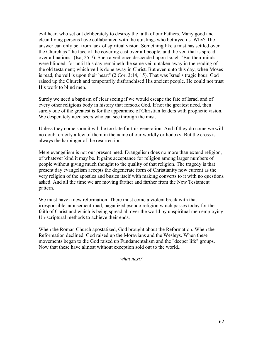evil heart who set out deliberately to destroy the faith of our Fathers. Many good and clean living persons have collaborated with the quislings who betrayed us. Why? The answer can only be: from lack of spiritual vision. Something like a mist has settled over the Church as "the face of the covering cast over all people, and the veil that is spread over all nations" (Isa, 25:7). Such a veil once descended upon Israel: "But their minds were blinded: for until this day remaineth the same veil untaken away in the reading of the old testament; which veil is done away in Christ. But even unto this day, when Moses is read, the veil is upon their heart" (2 Cor. 3:14, 15). That was Israel's tragic hour. God raised up the Church and temporarily disfranchised His ancient people. He could not trust His work to blind men.

Surely we need a baptism of clear seeing if we would escape the fate of Israel and of every other religious body in history that forsook God. If not the greatest need, then surely one of the greatest is for the appearance of Christian leaders with prophetic vision. We desperately need seers who can see through the mist.

Unless they come soon it will be too late for this generation. And if they do come we will no doubt crucify a few of them in the name of our worldly orthodoxy. But the cross is always the harbinger of the resurrection.

Mere evangelism is not our present need. Evangelism does no more than extend religion, of whatever kind it may be. It gains acceptance for religion among larger numbers of people without giving much thought to the quality of that religion. The tragedy is that present day evangelism accepts the degenerate form of Christianity now current as the very religion of the apostles and busies itself with making converts to it with no questions asked. And all the time we are moving farther and farther from the New Testament pattern.

We must have a new reformation. There must come a violent break with that irresponsible, amusement-mad, paganized pseudo religion which passes today for the faith of Christ and which is being spread all over the world by unspiritual men employing Un-scriptural methods to achieve their ends.

When the Roman Church apostatized, God brought about the Reformation. When the Reformation declined, God raised up the Moravians and the Wesleys. When these movements began to die God raised up Fundamentalism and the "deeper life" groups. Now that these have almost without exception sold out to the world...

*what next?*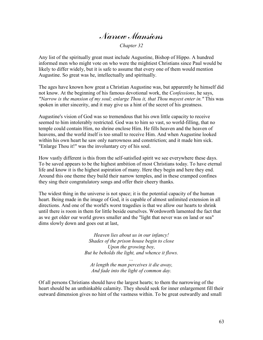### Narrow Mansions *Chapter 32*

Any list of the spiritually great must include Augustine, Bishop of Hippo. A hundred informed men who might vote on who were the mightiest Christians since Paul would be likely to differ widely, but it is safe to assume that every one of them would mention Augustine. So great was he, intellectually and spiritually.

The ages have known how great a Christian Augustine was, but apparently he himself did not know. At the beginning of his famous devotional work, the *Confessions*, he says, *"Narrow is the mansion of my soul; enlarge Thou it, that Thou mayest enter in."* This was spoken in utter sincerity, and it may give us a hint of the secret of his greatness.

Augustine's vision of God was so tremendous that his own little capacity to receive seemed to him intolerably restricted. God was to him so vast, so world-filling, that no temple could contain Him, no shrine enclose Him. He fills heaven and the heaven of heavens, and the world itself is too small to receive Him. And when Augustine looked within his own heart he saw only narrowness and constriction; and it made him sick. "Enlarge Thou it!" was the involuntary cry of his soul.

How vastly different is this from the self-satisfied spirit we see everywhere these days. To be saved appears to be the highest ambition of most Christians today. To have eternal life and know it is the highest aspiration of many. Here they begin and here they end. Around this one theme they build their narrow temples, and in these cramped confines they sing their congratulatory songs and offer their cheery thanks.

The widest thing in the universe is not space; it is the potential capacity of the human heart. Being made in the image of God, it is capable of almost unlimited extension in all directions. And one of the world's worst tragedies is that we allow our hearts to shrink until there is room in them for little beside ourselves. Wordsworth lamented the fact that as we get older our world grows smaller and the "light that never was on land or sea" dims slowly down and goes out at last,

> *Heaven lies about us in our infancy! Shades of the prison house begin to close Upon the growing boy, But he beholds the light, and whence it flows.*

*... At length the man perceives it die away, And fade into the light of common day.* 

Of all persons Christians should have the largest hearts; to them the narrowing of the heart should be an unthinkable calamity. They should seek for inner enlargement fill their outward dimension gives no hint of the vastness within. To be great outwardly and small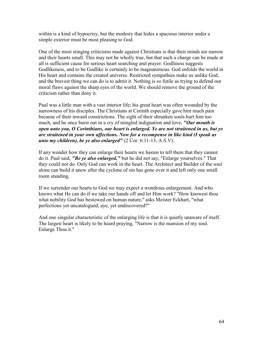within is a kind of hypocrisy, but the modesty that hides a spacious interior under a simple exterior must be most pleasing to God.

One of the most stinging criticisms made against Christians is that their minds are narrow and their hearts small. This may not be wholly true, but that such a charge can be made at all is sufficient cause for serious heart searching and prayer. Godliness suggests Godlikeness, and to be Godlike is certainly to be magnanimous. God enfolds the world in His heart and contains the created universe. Restricted sympathies make us unlike God, and the bravest thing we can do is to admit it. Nothing is so futile as trying to defend our moral flaws against the sharp eyes of the world. We should remove the ground of the criticism rather than deny it.

Paul was a little man with a vast interior life; his great heart was often wounded by the narrowness of his disciples. The Christians at Corinth especially gave him much pain because of their inward constrictions. The sight of their shrunken souls hurt him too much, and he once burst out in a cry of mingled indignation and love, *"Our mouth is open unto you, O Corinthians, our heart is enlarged. Ye are not straitened in us, but ye are straitened in your own affections. Now for a recompense in like kind (I speak as unto my children), be ye also enlarged"* (2 Cor. 6:11-13, A.S.V).

If any wonder how they can enlarge their hearts we hasten to tell them that they cannot do it. Paul said, *"Be ye also enlarged,"* but he did not say, "Enlarge yourselves." That they could not do. Only God can work in the heart. The Architect and Builder of the soul alone can build it anew after the cyclone of sin has gone over it and left only one small room standing.

If we surrender our hearts to God we may expect a wondrous enlargement. And who knows what He can do if we take our hands off and let Him work? "How knowest thou what nobility God has bestowed on human nature," asks Meister Eckhart, "what perfections yet uncatalogued, aye, yet undiscovered?"

And one singular characteristic of the enlarging life is that it is quietly unaware of itself. The largest heart is likely to be heard praying, "Narrow is the mansion of my soul. Enlarge Thou it."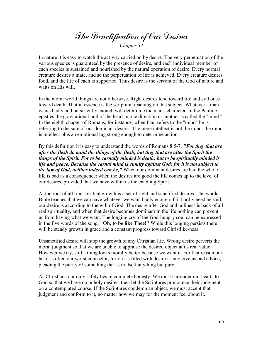#### The Sanctification of Our Desires *Chapter 33*

In nature it is easy to watch the activity carried on by desire. The very perpetuation of the various species is guaranteed by the presence of desire, and each individual member of each species is sustained and nourished by the natural operation of desire. Every normal creature desires a mate, and so the perpetuation of life is achieved. Every creature desires food, and the life of each is supported. Thus desire is the servant of the God of nature and waits on His will.

In the moral world things are not otherwise. Right desires tend toward life and evil ones toward death. That in essence is the scriptural teaching on this subject. Whatever a man wants badly and persistently enough will determine the man's character. In the Pauline epistles the gravitational pull of the heart in one direction or another is called the "mind." In the eighth chapter of Romans, for instance, when Paul refers to the "mind" he is referring to the sum of our dominant desires. The mere intellect is not the mind: the mind is intellect plus an emotional tug strong enough to determine action.

By this definition it is easy to understand the words of Romans 8:5-7, *"For they that are after the flesh do mind the things of the flesh; but they that are after the Spirit the things of the Spirit. For to be carnally minded is death; but to be spiritually minded is life and peace. Because the carnal mind is enmity against God: for it is not subject to the law of God, neither indeed can be,"* When our dominant desires are bad the whole life is bad as a consequence; when the desires are good the life comes up to the level of our desires, provided that we have within us the enabling Spirit.

At the root of all true spiritual growth is a set of right and sanctified desires. The whole Bible teaches that we can have whatever we want badly enough if, it hardly need be said, our desire is according to the will of God. The desire after God and holiness is back of all real spirituality, and when that desire becomes dominant in the life nothing can prevent us from having what we want. The longing cry of the God-hungry soul can be expressed in the five words of the song, **"Oh, to be like Thee!"** While this longing persists there will be steady growth in grace and a constant progress toward Christlike-ness.

Unsanctified desire will stop the growth of any Christian life. Wrong desire perverts the moral judgment so that we are unable to appraise the desired object at its real value. However we try, still a thing looks morally better because we want it. For that reason our heart is often our worst counselor, for if it is filled with desire it may give us bad advice, pleading the purity of something that is in itself anything but pure.

As Christians our only safety lies in complete honesty. We must surrender our hearts to God so that we have no unholy desires, then let the Scriptures pronounce their judgment on a contemplated course. If the Scriptures condemn an object, we must accept that judgment and conform to it, no matter how we may for the moment feel about it.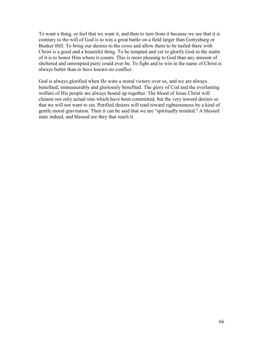To want a thing, or feel that we want it, and then to turn from it because we see that it is contrary to the will of God is to win a great battle on a field larger than Gettysburg or Bunker Hill. To bring our desires to the cross and allow them to be nailed there with Christ is a good and a beautiful thing. To be tempted and yet to glorify God in the midst of it is to honor Him where it counts. This is more pleasing to God than any amount of sheltered and untempted piety could ever be. To fight and to win in the name of Christ is always better than to have known no conflict.

God is always glorified when He wins a moral victory over us, and we are always benefited, immeasurably and gloriously benefited. The glory of Cod and the everlasting welfare of His people are always bound up together. The blood of Jesus Christ will cleanse not only actual sins which have been committed, but the very inward desires so that we will not want to sin. Purified desires will tend toward righteousness by a kind of gentle moral gravitation. Then it can be said that we are "spiritually minded." A blessed state indeed, and blessed are they that reach it.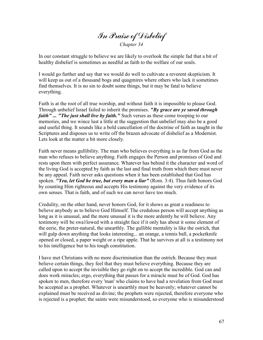#### In Praise of Disbelief *Chapter 34*

In our constant struggle to believe we are likely to overlook the simple fad that a bit of healthy disbelief is sometimes as needful as faith to the welfare of our souls.

I would go further and say that we would do well to cultivate a reverent skepticism. It will keep us out of a thousand bogs and quagmires where others who lack it sometimes find themselves. It is no sin to doubt some things, but it may be fatal to believe everything.

Faith is at the root of all true worship, and without faith it is impossible to please God. Through unbelief Israel failed to inherit the promises. *"By grace are ye saved through faith"* ... "The just shall live by faith." Such verses as these come trooping to our memories, and we wince lust a little at the suggestion that unbelief may also be a good and useful thing. It sounds like a bold cancellation of the doctrine of faith as taught in the Scriptures and disposes us to write off the brazen advocate of disbelief as a Modernist. Lets look at the matter a bit more closely.

Faith never means gullibility. The man who believes everything is as far from God as the man who refuses to believe anything. Faith engages the Person and promises of God and rests upon them with perfect assurance. Whatever has behind it the character and word of the living God is accepted by faith as the last and final truth from which there must never be any appeal. Faith never asks questions when it has been established that God has spoken. *"Yea, let God he true, but every man a liar"* (Rom. 3:4). Thus faith honors God by counting Him righteous and accepts His testimony against the very evidence of its own senses. That is faith, and of such we can never have too much.

Credulity, on the other hand, never honors God, for it shows as great a readiness to believe anybody as to believe God Himself. The credulous person will accept anything as long as it is unusual, and the more unusual it is the more ardently he will believe. Any testimony will be swa1lowed with a straight face if it only has about it some element of the eerie, the preter-natural, the unearthly. The gullible mentality is like the ostrich, that will gulp down anything that looks interesting... an orange, a tennis ball, a pocketknife opened or closed, a paper weight or a ripe apple. That he survives at all is a testimony not to his intelligence but to his tough constitution.

I have met Christians with no more discrimination than the ostrich. Because they must believe certain things, they feel that they must believe everything. Because they are called upon to accept the invisible they go right on to accept the incredible. God can and does work miracles; ergo, everything that passes for a miracle must be of God. God has spoken to men, therefore every 'man' who claims to have had a revelation from God must be accepted as a prophet. Whatever is unearthly must be heavenly; whatever cannot be explained must be received as divine; the prophets were rejected, therefore everyone who is rejected is a prophet; the saints were misunderstood, so everyone who is misunderstood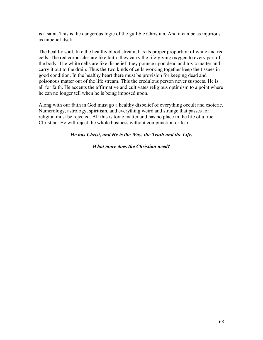is a saint. This is the dangerous logic of the gullible Christian. And it can be as injurious as unbelief itself.

The healthy soul, like the healthy blood stream, has its proper proportion of white and red cells. The red corpuscles are like faith: they carry the life-giving oxygen to every part of the body. The white cells are like disbelief: they pounce upon dead and toxic matter and carry it out to the drain. Thus the two kinds of cells working together keep the tissues in good condition. In the healthy heart there must be provision for keeping dead and poisonous matter out of the life stream. This the credulous person never suspects. He is all for faith. He accents the affirmative and cultivates religious optimism to a point where he can no longer tell when he is being imposed upon.

Along with our faith in God must go a healthy disbelief of everything occult and esoteric. Numerology, astrology, spiritism, and everything weird and strange that passes for religion must be rejected. All this is toxic matter and has no place in the life of a true Christian. He will reject the whole business without compunction or fear.

*He has Christ, and He is the Way, the Truth and the Life.* 

#### *What more does the Christian need?*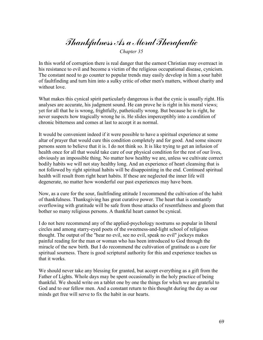## Thankfulness As a Moral Therapeutic

*Chapter 35* 

In this world of corruption there is real danger that the earnest Christian may overreact in his resistance to evil and become a victim of the religious occupational disease, cynicism. The constant need to go counter to popular trends may easily develop in him a sour habit of faultfinding and turn him into a sulky critic of other men's matters, without charity and without love.

What makes this cynical spirit particularly dangerous is that the cynic is usually right. His analyses are accurate, his judgment sound. He can prove he is right in his moral views; yet for all that he is wrong, frightfully, pathetically wrong. But because he is right, he never suspects how tragically wrong he is. He slides imperceptibly into a condition of chronic bitterness and comes at last to accept it as normal.

It would be convenient indeed if it were possible to have a spiritual experience at some altar of prayer that would cure this condition completely and for good. And some sincere persons seem to believe that it is. I do not think so. It is like trying to get an infusion of health once for all that would take care of our physical condition for the rest of our lives, obviously an impossible thing. No matter how healthy we are, unless we cultivate correct bodily habits we will not stay healthy long. And an experience of heart cleansing that is not followed by right spiritual habits will be disappointing in the end. Continued spiritual health will result from right heart habits. If these are neglected the inner life will degenerate, no matter how wonderful our past experiences may have been.

Now, as a cure for the sour, faultfinding attitude I recommend the cultivation of the habit of thankfulness. Thanksgiving has great curative power. The heart that is constantly overflowing with gratitude will be safe from those attacks of resentfulness and gloom that bother so many religious persons. A thankful heart cannot be cynical.

I do not here recommend any of the applied-psychology nostrums so popular in liberal circles and among starry-eyed poets of the sweetness-and-light school of religious thought. The output of the "hear no evil, see no evil, speak no evil" jockeys makes painful reading for the man or woman who has been introduced to God through the miracle of the new birth. But I do recommend the cultivation of gratitude as a cure for spiritual sourness. There is good scriptural authority for this and experience teaches us that it works.

We should never take any blessing for granted, but accept everything as a gift from the Father of Lights. Whole days may be spent occasionally in the holy practice of being thankful. We should write on a tablet one by one the things for which we are grateful to God and to our fellow men. And a constant return to this thought during the day as our minds get free will serve to fix the habit in our hearts.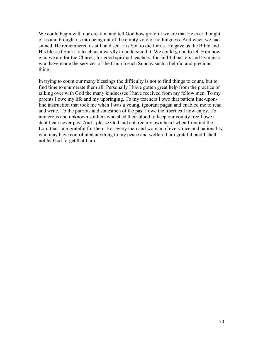We could begin with our creation and tell God how grateful we are that He ever thought of us and brought us into being out of the empty void of nothingness. And when we had sinned, He remembered us still and sent His Son to die for us. He gave us the Bible and His blessed Spirit to teach us inwardly to understand it. We could go on to tell Him how glad we are for the Church, for good spiritual teachers, for faithful pastors and hymnists who have made the services of the Church each Sunday such a helpful and precious thing.

In trying to count our many blessings the difficulty is not to find things to count, but to find time to enumerate them all. Personally I have gotten great help from the practice of talking over with God the many kindnesses I have received from my fellow men. To my parents I owe my life and my upbringing. To my teachers I owe that patient line-uponline instruction that took me when I was a young, ignorant pagan and enabled me to read and write. To the patriots and statesmen of the past I owe the liberties I now enjoy. To numerous and unknown soldiers who shed their blood to keep our county free I owe a debt I can never pay. And I please God and enlarge my own heart when I remind the Lord that I am grateful for them. For every man and woman of every race and nationality who may have contributed anything to my peace and welfare I am grateful, and I shall not let God forget that I am.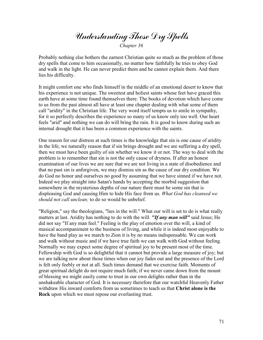### Understanding Those Dry Spells *Chapter 36*

Probably nothing else bothers the earnest Christian quite so much as the problem of those dry spells that come to him occasionally, no matter how faithfully he tries to obey God and walk in the light. He can never predict them and he cannot explain them. And there lies his difficulty.

It might comfort one who finds himself in the middle of an emotional desert to know that his experience is not unique. The sweetest and holiest saints whose feet have graced this earth have at some time found themselves there. The books of devotion which have come to us from the past almost all have at least one chapter dealing with what some of them call "aridity" in the Christian life. The very word itself tempts us to smile in sympathy, for it so perfectly describes the experience so many of us know only too well. Our heart feels "arid" and nothing we can do will bring the rain. It is good to know during such an internal drought that it has been a common experience with the saints.

One reason for our distress at such times is the knowledge that sin is one cause of aridity in the life; we naturally reason that if sin brings drought and we are suffering a dry spell, then we must have been guilty of sin whether we know it or not. The way to deal with the problem is to remember that sin is not the only cause of dryness. If after an honest examination of our lives we are sure that we are not living in a state of disobedience and that no past sin is unforgiven, we may dismiss sin as the cause of our dry condition. We do God no honor and ourselves no good by assuming that we have sinned if we have not. Indeed we play straight into Satan's hands by accepting the morbid suggestion that somewhere in the mysterious depths of our nature there must be some sin that is displeasing God and causing Him to hide His face from us. *What God has cleansed we should not call unclean;* to do so would be unbelief.

"Religion," say the theologians, "lies in the will." What our will is set to do is what really matters at last. Aridity has nothing to do with the will. *"If any man will"* said Jesus; He did not say "If any man feel." Feeling is the play of emotion over the will, a kind of musical accompaniment to the business of living, and while it is indeed most enjoyable to have the band play as we march to Zion it is by no means indispensable. We can work and walk without music and if we have true faith we can walk with God without feeling. Normally we may expect some degree of spiritual joy to be present most of the time. Fellowship with God is so delightful that it cannot but provide a large measure of joy; but we are talking now about those times when our joy fades out and the presence of the Lord is felt only feebly or not at all. Such times demand that we exercise faith. Moments of great spiritual delight do not require much faith; if we never came down from the mount of blessing we might easily come to trust in our own delights rather than in the unshakeable character of God. It is necessary therefore that our watchful Heavenly Father withdraw His inward comforts from us sometimes to teach us that **Christ alone is the Rock** upon which we must repose our everlasting trust.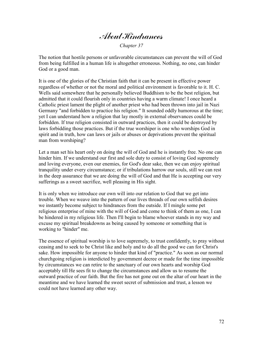## About Hindrances

*Chapter 37* 

The notion that hostile persons or unfavorable circumstances can prevent the will of God from being fulfilled in a human life is altogether erroneous. Nothing, no one, can hinder God or a good man.

It is one of the glories of the Christian faith that it can be present in effective power regardless of whether or not the moral and political environment is favorable to it. H. C. Wells said somewhere that he personally believed Buddhism to be the best religion, but admitted that it could flourish only in countries having a warm climate! I once heard a Catholic priest lament the plight of another priest who had been thrown into jail in Nazi Germany "and forbidden to practice his religion." It sounded oddly humorous at the time; yet I can understand how a religion that lay mostly in external observances could be forbidden. If true religion consisted in outward practices, then it could be destroyed by laws forbidding those practices. But if the true worshiper is one who worships God in spirit and in truth, how can laws or jails or abuses or deprivations prevent the spiritual man from worshiping?

Let a man set his heart only on doing the will of God and he is instantly free. No one can hinder him. If we understand our first and sole duty to consist of loving God supremely and loving everyone, even our enemies, for God's dear sake, then we can enjoy spiritual tranquility under every circumstance; or if tribulations harrow our souls, still we can rest in the deep assurance that we are doing the will of God and that He is accepting our very sufferings as a sweet sacrifice, well pleasing in His sight.

It is only when we introduce our own will into our relation to God that we get into trouble. When we weave into the pattern of our lives threads of our own selfish desires we instantly become subject to hindrances from the outside. If I mingle some pet religious enterprise of mine with the will of God and come to think of them as one, I can be hindered in my religious life. Then I'll begin to blame whoever stands in my way and excuse my spiritual breakdowns as being caused by someone or something that is working to "hinder" me.

The essence of spiritual worship is to love supremely, to trust confidently, to pray without ceasing and to seek to be Christ like and holy and to do all the good we can for Christ's sake. How impossible for anyone to hinder that kind of "practice." As soon as our normal churchgoing religion is interdicted by government decree or made for the time impossible by circumstances we can retire to the sanctuary of our own hearts and worship God acceptably till He sees fit to change the circumstances and allow us to resume the outward practice of our faith. But the fire has not gone out on the altar of our heart in the meantime and we have learned the sweet secret of submission and trust, a lesson we could not have learned any other way.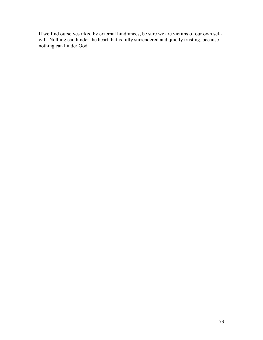If we find ourselves irked by external hindrances, be sure we are victims of our own selfwill. Nothing can hinder the heart that is fully surrendered and quietly trusting, because nothing can hinder God.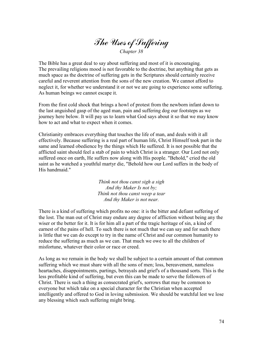# The Uses of Suffering *Chapter 38*

The Bible has a great deal to say about suffering and most of it is encouraging. The prevailing religions mood is not favorable to the doctrine, but anything that gets as much space as the doctrine of suffering gets in the Scriptures should certainly receive careful and reverent attention from the sons of the new creation. We cannot afford to neglect it, for whether we understand it or not we are going to experience some suffering. As human beings we cannot escape it.

From the first cold shock that brings a howl of protest from the newborn infant down to the last anguished gasp of the aged man, pain and suffering dog our footsteps as we journey here below. It will pay us to learn what God says about it so that we may know how to act and what to expect when it comes.

Christianity embraces everything that touches the life of man, and deals with it all effectively. Because suffering is a real part of human life, Christ Himself took part in the same and learned obedience by the things which He suffered. It is not possible that the afflicted saint should feel a stab of pain to which Christ is a stranger. Our Lord not only suffered once on earth, He suffers now along with His people. "Behold," cried the old saint as he watched a youthful martyr die, "Behold how our Lord suffers in the body of His handmaid."

> *Think not thou canst sigh a sigh And thy Maker Is not by; Think not thou canst weep a tear And thy Maker is not near.*

There is a kind of suffering which profits no one: it is the bitter and defiant suffering of the lost. The man out of Christ may endure any degree of affliction without being any the wiser or the better for it. It is for him all a part of the tragic heritage of sin, a kind of earnest of the pains of hell. To such there is not much that we can say and for such there is little that we can do except to try in the name of Christ and our common humanity to reduce the suffering as much as we can. That much we owe to all the children of misfortune, whatever their color or race or creed.

As long as we remain in the body we shall be subject to a certain amount of that common suffering which we must share with all the sons of men; loss, bereavement, nameless heartaches, disappointments, partings, betrayals and grief's of a thousand sorts. This is the less profitable kind of suffering, but even this can be made to serve the followers of Christ. There is such a thing as consecrated grief's, sorrows that may be common to everyone but which take on a special character for the Christian when accepted intelligently and offered to God in loving submission. We should be watchful lest we lose any blessing which such suffering might bring.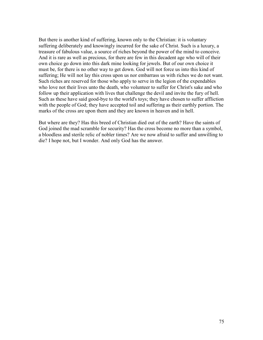But there is another kind of suffering, known only to the Christian: it is voluntary suffering deliberately and knowingly incurred for the sake of Christ. Such is a luxury, a treasure of fabulous value, a source of riches beyond the power of the mind to conceive. And it is rare as well as precious, for there are few in this decadent age who will of their own choice go down into this dark mine looking for jewels. But of our own choice it must be, for there is no other way to get down. God will not force us into this kind of suffering; He will not lay this cross upon us nor embarrass us with riches we do not want. Such riches are reserved for those who apply to serve in the legion of the expendables who love not their lives unto the death, who volunteer to suffer for Christ's sake and who follow up their application with lives that challenge the devil and invite the fury of hell. Such as these have said good-bye to the world's toys; they have chosen to suffer affliction with the people of God; they have accepted toil and suffering as their earthly portion. The marks of the cross are upon them and they are known in heaven and in hell.

But where are they? Has this breed of Christian died out of the earth? Have the saints of God joined the mad scramble for security? Has the cross become no more than a symbol, a bloodless and sterile relic of nobler times? Are we now afraid to suffer and unwilling to die? I hope not, but I wonder. And only God has the answer.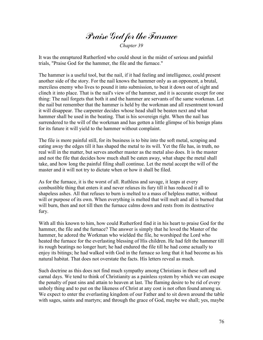## Praise God for the Furnace *Chapter 39*

It was the enraptured Rutherford who could shout in the midst of serious and painful trials, "Praise God for the hammer, the file and the furnace."

The hammer is a useful tool, but the nail, if it had feeling and intelligence, could present another side of the story. For the nail knows the hammer only as an opponent, a brutal, merciless enemy who lives to pound it into submission, to beat it down out of sight and clinch it into place. That is the nail's view of the hammer, and it is accurate except for one thing: The nail forgets that both it and the hammer are servants of the same workman. Let the nail but remember that the hammer is held by the workman and all resentment toward it will disappear. The carpenter decides whose head shall be beaten next and what hammer shall be used in the beating. That is his sovereign right. When the nail has surrendered to the will of the workman and has gotten a little glimpse of his benign plans for its future it will yield to the hammer without complaint.

The file is more painful still, for its business is to bite into the soft metal, scraping and eating away the edges till it has shaped the metal to its will. Yet the file has, in truth, no real will in the matter, but serves another master as the metal also does. It is the master and not the file that decides how much shall be eaten away, what shape the metal shall take, and how long the painful filing shall continue. Let the metal accept the will of the master and it will not try to dictate when or how it shall be filed.

As for the furnace, it is the worst of all. Ruthless and savage, it leaps at every combustible thing that enters it and never relaxes its fury till it has reduced it all to shapeless ashes. All that refuses to burn is melted to a mass of helpless matter, without will or purpose of its own. When everything is melted that will melt and all is burned that will burn, then and not till then the furnace calms down and rests from its destructive fury.

With all this known to him, how could Rutherford find it in his heart to praise God for the hammer, the file and the furnace? The answer is simply that he loved the Master of the hammer, he adored the Workman who wielded the file, he worshiped the Lord who heated the furnace for the everlasting blessing of His children. He had felt the hammer till its rough beatings no longer hurt; he had endured the file till he had come actually to enjoy its bitings; he had walked with God in the furnace so long that it had become as his natural habitat. That does not overstate the facts. His letters reveal as much.

Such doctrine as this does not find much sympathy among Christians in these soft and carnal days. We tend to think of Christianity as a painless system by which we can escape the penalty of past sins and attain to heaven at last. The flaming desire to be rid of every unholy thing and to put on the likeness of Christ at any cost is not often found among us. We expect to enter the everlasting kingdom of our Father and to sit down around the table with sages, saints and martyrs; and through the grace of God, maybe we shall; yes, maybe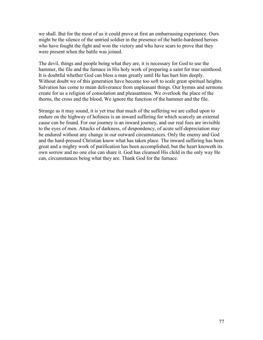we shall. But for the most of us it could prove at first an embarrassing experience. Ours might be the silence of the untried soldier in the presence of the battle-hardened heroes who have fought the fight and won the victory and who have scars to prove that they were present when the battle was joined.

The devil, things and people being what they are, it is necessary for God to use the hammer, the file and the furnace in His holy work of preparing a saint for true sainthood. It is doubtful whether God can bless a man greatly until He has hurt him deeply. Without doubt we of this generation have become too soft to scale great spiritual heights. Salvation has come to mean deliverance from unpleasant things. Our hymns and sermons create for us a religion of consolation and pleasantness. We overlook the place of the thorns, the cross and the blood, We ignore the function of the hammer and the file.

Strange as it may sound, it is yet true that much of the suffering we are called upon to endure on the highway of holiness is an inward suffering for which scarcely an external cause can be found. For our journey is an inward journey, and our real foes are invisible to the eyes of men. Attacks of darkness, of despondency, of acute self-depreciation may be endured without any change in our outward circumstances. Only the enemy and God and the hard-pressed Christian know what has taken place. The inward suffering has been great and a mighty work of purification has been accomplished, but the heart knoweth its own sorrow and no one else can share it. God has cleansed His child in the only way He can, circumstances being what they are. Thank God for the furnace.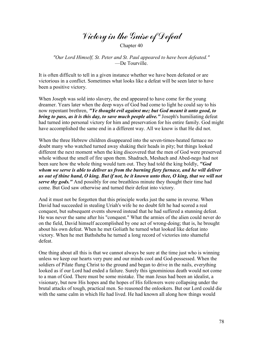Victory in the Guise of Defeat

Chapter 40

*"Our Lord Himself, St. Peter and St. Paul appeared to have been defeated."*  —De Tourville.

It is often difficult to tell in a given instance whether we have been defeated or are victorious in a conflict. Sometimes what looks like a defeat will be seen later to have been a positive victory.

When Joseph was sold into slavery, the end appeared to have come for the young dreamer. Years later when the deep ways of God bad come to light he could say to his now repentant brethren, *"Ye thought evil against me; but God meant it unto good, to bring to pass, as it is this day, to save much people alive."* Joseph's humiliating defeat had turned into personal victory for him and preservation for his entire family. God might have accomplished the same end in a different way. All we know is that He did not.

When the three Hebrew children disappeared into the seven-times-heated furnace no doubt many who watched turned away shaking their heads in pity; but things looked different the next moment when the king discovered that the men of God were preserved whole without the smell of fire upon them. Shadrach, Meshach and Abed-nego had not been sure how the whole thing would turn out. They had told the king boldly, *"God whom we serve is able to deliver us from the burning fiery furnace, and he will deliver us out of thine hand, O king. But if not, be it known unto thee, O king, that we will not serve thy gods.*" And possibly for one breathless minute they thought their time had come. But God saw otherwise and turned their defeat into victory.

And it must not be forgotten that this principle works just the same in reverse. When David had succeeded in stealing Uriah's wife he no doubt felt he had scored a real conquest, but subsequent events showed instead that he had suffered a stunning defeat. He was never the same after his "conquest." What the armies of the alien could never do on the field, David himself accomplished by one act of wrong-doing; that is, he brought about his own defeat. When he met Goliath he turned what looked like defeat into victory. When he met Bathsheba he turned a long record of victories into shameful defeat.

One thing about all this is that we cannot always be sure at the time just who is winning unless we keep our hearts very pure and our minds cool and God-possessed. When the soldiers of Pilate flung Christ to the ground and began to drive in the nails, everything looked as if our Lord had ended a failure. Surely this ignominious death would not come to a man of God. There must be some mistake. The man Jesus had been an idealist, a visionary, but now His hopes and the hopes of His followers were collapsing under the brutal attacks of tough, practical men. So reasoned the onlookers. But our Lord could die with the same calm in which He had lived. He had known all along how things would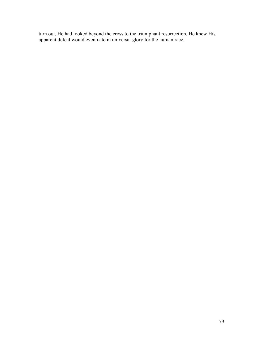turn out, He had looked beyond the cross to the triumphant resurrection, He knew His apparent defeat would eventuate in universal glory for the human race.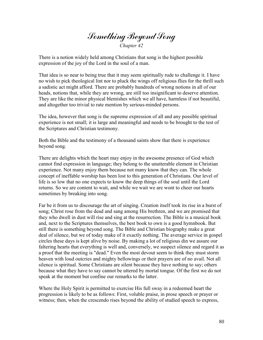# Something Beyond Song *Chapter 42*

There is a notion widely held among Christians that song is the highest possible expression of the joy of the Lord in the soul of a man.

That idea is so near to being true that it may seem spiritually rude to challenge it. I have no wish to pick theological lint nor to pluck the wings off religious flies for the thrill such a sadistic act might afford. There are probably hundreds of wrong notions in all of our heads, notions that, while they are wrong, are still too insignificant to deserve attention. They are like the minor physical blemishes which we all have, harmless if not beautiful, and altogether too trivial to rate mention by serious-minded persons.

The idea, however that song is the supreme expression of all and any possible spiritual experience is not small; it is large and meaningful and needs to be brought to the test of the Scriptures and Christian testimony.

Both the Bible and the testimony of a thousand saints show that there is experience beyond song.

There are delights which the heart may enjoy in the awesome presence of God which cannot find expression in language; they belong to the unutterable element in Christian experience. Not many enjoy them because not many know that they can. The whole concept of ineffable worship has been lost to this generation of Christians. Our level of life is so low that no one expects to know the deep things of the soul until the Lord returns. So we are content to wait, and while we wait we are wont to cheer our hearts sometimes by breaking into song.

Far be it from us to discourage the art of singing. Creation itself took its rise in a burst of song; Christ rose from the dead and sang among His brethren, and we are promised that they who dwell in dust will rise and sing at the resurrection. The Bible is a musical book and, next to the Scriptures themselves, the best book to own is a good hymnbook. But still there is something beyond song. The Bible and Christian biography make a great deal of silence, but we of today make of it exactly nothing. The average service in gospel circles these days is kept alive by noise. By making a lot of religious din we assure our faltering hearts that everything is well and, conversely, we suspect silence and regard it as a proof that the meeting is "dead." Even the most devout seem to think they must storm heaven with loud outcries and mighty bellowings or their prayers are of no avail. Not all silence is spiritual. Some Christians are silent because they have nothing to say; others because what they have to say cannot be uttered by mortal tongue. Of the first we do not speak at the moment but confine our remarks to the latter.

Where the Holy Spirit is permitted to exercise His full sway in a redeemed heart the progression is likely to be as follows: First, voluble praise, in prose speech or prayer or witness; then, when the crescendo rises beyond the ability of studied speech to express,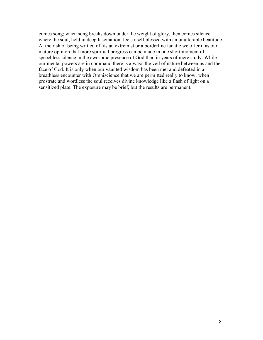comes song; when song breaks down under the weight of glory, then comes silence where the soul, held in deep fascination, feels itself blessed with an unutterable beatitude. At the risk of being written off as an extremist or a borderline fanatic we offer it as our mature opinion that more spiritual progress can be made in one short moment of speechless silence in the awesome presence of God than in years of mere study. While our mental powers are in command there is always the veil of nature between us and the face of God. It is only when our vaunted wisdom has been met and defeated in a breathless encounter with Omniscience that we are permitted really to know, when prostrate and wordless the soul receives divine knowledge like a flash of light on a sensitized plate. The exposure may be brief, but the results are permanent.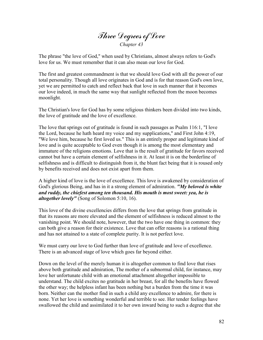## Three Degrees of Love *Chapter 43*

The phrase "the love of God," when used by Christians, almost always refers to God's love for us. We must remember that it can also mean our love for God.

The first and greatest commandment is that we should love God with all the power of our total personality. Though all love originates in God and is for that reason God's own love, yet we are permitted to catch and reflect back that love in such manner that it becomes our love indeed, in much the same way that sunlight reflected from the moon becomes moonlight.

The Christian's love for God has by some religious thinkers been divided into two kinds, the love of gratitude and the love of excellence.

The love that springs out of gratitude is found in such passages as Psalm 116:1, "I love the Lord, because he hath heard my voice and my supplications," and First John 4:19, "We love him, because he first loved us." This is an entirely proper and legitimate kind of love and is quite acceptable to God even though it is among the most elementary and immature of the religions emotions. Love that is the result of gratitude for favors received cannot but have a certain element of selfishness in it. At least it is on the borderline of selfishness and is difficult to distinguish from it, the blunt fact being that it is roused only by benefits received and does not exist apart from them.

A higher kind of love is the love of excellence. This love is awakened by consideration of God's glorious Being, and has in it a strong element of admiration. *"My beloved is white and ruddy, the chiefest among ten thousand. His mouth is most sweet: yea, he is altogether lovely"* (Song of Solomon 5:10, 16).

This love of the divine excellencies differs from the love that springs from gratitude in that its reasons are more elevated and the element of selfishness is reduced almost to the vanishing point. We should note, however, that the two have one thing in common: they can both give a reason for their existence. Love that can offer reasons is a rational thing and has not attained to a state of complete purity. It is not perfect love.

We must carry our love to God further than love of gratitude and love of excellence. There is an advanced stage of love which goes far beyond either.

Down on the level of the merely human it is altogether common to find love that rises above both gratitude and admiration, The mother of a subnormal child, for instance, may love her unfortunate child with an emotional attachment altogether impossible to understand. The child excites no gratitude in her breast, for all the benefits have flowed the other way; the helpless infant has been nothing but a burden from the time it was born. Neither can the mother find in such a child any excellence to admire, for there is none. Yet her love is something wonderful and terrible to see. Her tender feelings have swallowed the child and assimilated it to her own inward being to such a degree that she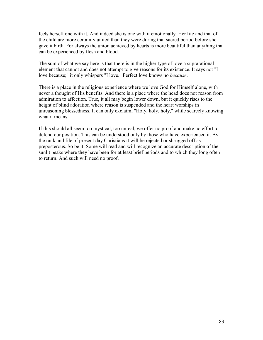feels herself one with it. And indeed she is one with it emotionally. Her life and that of the child are more certainly united than they were during that sacred period before she gave it birth. For always the union achieved by hearts is more beautiful than anything that can be experienced by flesh and blood.

The sum of what we say here is that there is in the higher type of love a suprarational element that cannot and does not attempt to give reasons for its existence. It says not "I love because;" it only whispers "I love." Perfect love knows no *because*.

There is a place in the religious experience where we love God for Himself alone, with never a thought of His benefits. And there is a place where the head does not reason from admiration to affection. True, it all may begin lower down, but it quickly rises to the height of blind adoration where reason is suspended and the heart worships in unreasoning blessedness. It can only exclaim, "Holy, holy, holy," while scarcely knowing what it means.

If this should all seem too mystical, too unreal, we offer no proof and make no effort to defend our position. This can be understood only by those who have experienced it. By the rank and file of present day Christians it will be rejected or shrugged off as preposterous. So be it. Some will read and will recognize an accurate description of the sunlit peaks where they have been for at least brief periods and to which they long often to return. And such will need no proof.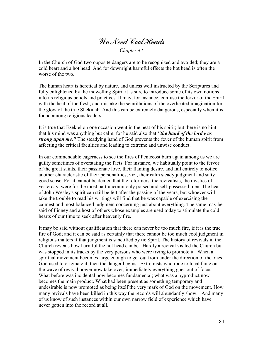# We Need Cool Heads

*Chapter 44* 

In the Church of God two opposite dangers are to be recognized and avoided; they are a cold heart and a hot head. And for downright harmful effects the hot head is often the worse of the two.

The human heart is heretical by nature, and unless well instructed by the Scriptures and fully enlightened by the indwelling Spirit it is sure to introduce some of its own notions into its religious beliefs and practices. It may, for instance, confuse the fervor of the Spirit with the heat of the flesh, and mistake the scintillations of the overheated imagination for the glow of the true Shekinah. And this can be extremely dangerous, especially when it is found among religious leaders.

It is true that Ezekiel on one occasion went in the heat of his spirit; but there is no hint that his mind was anything but calm, for he said also that *"the hand of the lord was strong upon me."* The steadying hand of God prevents the fever of the human spirit from affecting the critical faculties and leading to extreme and unwise conduct.

In our commendable eagerness to see the fires of Pentecost burn again among us we are guilty sometimes of overstating the facts. For instance, we habitually point to the fervor of the great saints, their passionate love, their flaming desire, and fail entirely to notice another characteristic of their personalities, viz., their calm steady judgment and salty good sense. For it cannot be denied that the reformers, the revivalists, the mystics of yesterday, were for the most part uncommonly poised and self-possessed men. The heat of John Wesley's spirit can still be felt after the passing of the years, but whoever will take the trouble to read his writings will find that he was capable of exercising the calmest and most balanced judgment concerning just about everything. The same may be said of Finney and a host of others whose examples are used today to stimulate the cold hearts of our time to seek after heavenly fire.

It may be said without qualification that there can never be too much fire, if it is the true fire of God; and it can be said as certainly that there cannot be too much cool judgment in religious matters if that judgment is sanctified by tie Spirit. The history of revivals in the Church reveals how harmful the hot head can be. Hardly a revival visited the Church but was stopped in its tracks by the very persons who were trying to promote it. When a spiritual movement becomes large enough to get out from under the direction of the ones God used to originate it, then the danger begins. Extremists who rode to local fame on the wave of revival power now take over; immediately everything goes out of focus. What before was incidental now becomes fundamental; what was a byproduct now becomes the main product. What had been present as something temporary and undesirable is now promoted as being itself the very mark of God on the movement. How many revivals have been killed in this way the records will abundantly show. And many of us know of such instances within our own narrow field of experience which have never gotten into the record at all.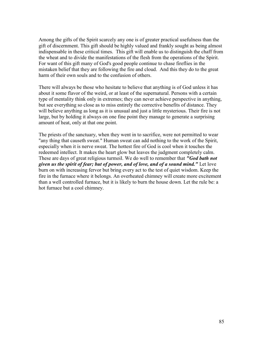Among the gifts of the Spirit scarcely any one is of greater practical usefulness than the gift of discernment. This gift should be highly valued and frankly sought as being almost indispensable in these critical times. This gift will enable us to distinguish the chaff from the wheat and to divide the manifestations of the flesh from the operations of the Spirit. For want of this gift many of God's good people continue to chase fireflies in the mistaken belief that they are following the fire and cloud. And this they do to the great harm of their own souls and to the confusion of others.

There will always be those who hesitate to believe that anything is of God unless it has about it some flavor of the weird, or at least of the supernatural. Persons with a certain type of mentality think only in extremes; they can never achieve perspective in anything, but see everything so close as to miss entirely the corrective benefits of distance. They will believe anything as long as it is unusual and just a little mysterious. Their fire is not large, but by holding it always on one fine point they manage to generate a surprising amount of heat, only at that one point.

The priests of the sanctuary, when they went in to sacrifice, were not permitted to wear "any thing that causeth sweat." Human sweat can add nothing to the work of the Spirit, especially when it is nerve sweat. The hottest fire of God is cool when it touches the redeemed intellect. It makes the heart glow but leaves the judgment completely calm. These are days of great religious turmoil. We do well to remember that *"God bath not given us the spirit of fear; but of power, and of love, and of a sound mind."* Let love burn on with increasing fervor but bring every act to the test of quiet wisdom. Keep the fire in the furnace where it belongs. An overheated chimney will create more excitement than a well controlled furnace, but it is likely to burn the house down. Let the rule be: a hot furnace but a cool chimney.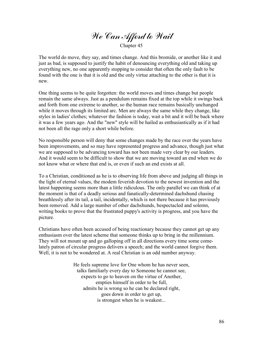## We Can Afford to Wait Chapter 45

The world do move, they say, and times change. And this bromide, or another like it and just as bad, is supposed to justify the habit of denouncing everything old and taking up everything new, no one apparently stopping to consider that often the only fault to be found with the one is that it is old and the only virtue attaching to the other is that it is new.

One thing seems to be quite forgotten: the world moves and times change but people remain the same always. Just as a pendulum remains fixed at the top while it swings back and forth from one extreme to another, so the human race remains basically unchanged while it moves through its limited arc. Men are always the same while they change, like styles in ladies' clothes; whatever the fashion is today, wait a bit and it will be back where it was a few years ago. And the "new" style will be hailed as enthusiastically as if it had not been all the rage only a short while before.

No responsible person will deny that some changes made by the race over the years have been improvements, and so may have represented progress and advance, though just what we are supposed to be advancing toward has not been made very clear by our leaders. And it would seem to be difficult to show that we are moving toward an end when we do not know what or where that end is, or even if such an end exists at all.

To a Christian, conditioned as he is to observing life from above and judging all things in the light of eternal values, the modem feverish devotion to the newest invention and the latest happening seems more than a little ridiculous. The only parallel we can think of at the moment is that of a deadly serious and fanatically-determined dachshund chasing breathlessly after its tail, a tail, incidentally, which is not there because it has previously been removed. Add a large number of other dachshunds, bespectacled and solemn, writing books to prove that the frustrated puppy's activity is progress, and you have the picture.

Christians have often been accused of being reactionary because they cannot get up any enthusiasm over the latest scheme that someone thinks up to bring in the millennium. They will not mount up and go galloping off in all directions every time some comelately patron of circular progress delivers a speech; and the world cannot forgive them. Well, it is not to be wondered at. A real Christian is an odd number anyway.

> He feels supreme love for One whom he has never seen, talks familiarly every day to Someone he cannot see, expects to go to heaven on the virtue of Another, empties himself in order to be full, admits he is wrong so he can be declared right, goes down in order to get up, is strongest when he is weakest...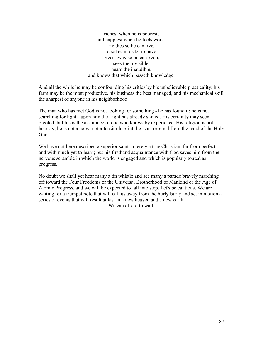richest when he is poorest, and happiest when he feels worst. He dies so he can live, forsakes in order to have, gives away so he can keep, sees the invisible, hears the inaudible, and knows that which passeth knowledge.

And all the while he may be confounding his critics by his unbelievable practicality: his farm may be the most productive, his business the best managed, and his mechanical skill the sharpest of anyone in his neighborhood.

The man who has met God is not looking for something - he has found it; he is not searching for light - upon him the Light has already shined. His certainty may seem bigoted, but his is the assurance of one who knows by experience. His religion is not hearsay; he is not a copy, not a facsimile print; he is an original from the hand of the Holy Ghost.

We have not here described a superior saint - merely a true Christian, far from perfect and with much yet to learn; but his firsthand acquaintance with God saves him from the nervous scramble in which the world is engaged and which is popularly touted as progress.

No doubt we shall yet hear many a tin whistle and see many a parade bravely marching off toward the Four Freedoms or the Universal Brotherhood of Mankind or the Age of Atomic Progress, and we will be expected to fall into step. Let's be cautious. We are waiting for a trumpet note that will call us away from the hurly-burly and set in motion a series of events that will result at last in a new heaven and a new earth.

We can afford to wait.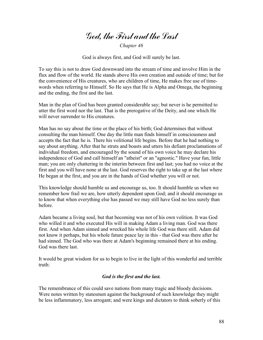God, the First and the Last

*Chapter 46* 

God is always first, and God will surely be last.

To say this is not to draw God downward into the stream of time and involve Him in the flux and flow of the world. He stands above His own creation and outside of time; but for the convenience of His creatures, who are children of time, He makes free use of timewords when referring to Himself. So He says that He is Alpha and Omega, the beginning and the ending, the first and the last.

Man in the plan of God has been granted considerable say; but never is he permitted to utter the first word nor the last. That is the prerogative of the Deity, and one which He will never surrender to His creatures.

Man has no say about the time or the place of his birth; God determines that without consulting the man himself. One day the little man finds himself in consciousness and accepts the fact that he is. There his volitional life begins. Before that he had nothing to say about anything. After that he struts and boasts and utters his defiant proclamations of individual freedom, and encouraged by the sound of his own voice he may declare his independence of God and call himself an "atheist" or an "agnostic." Have your fun, little man; you are only chattering in the interim between first and last; you had no voice at the first and you will have none at the last. God reserves the right to take up at the last where He began at the first, and you are in the hands of God whether you will or not.

This knowledge should humble us and encourage us, too. It should humble us when we remember how frail we are, how utterly dependent upon God; and it should encourage us to know that when everything else has passed we may still have God no less surely than before.

Adam became a living soul, but that becoming was not of his own volition. It was God who willed it and who executed His will in making Adam a living man. God was there first. And when Adam sinned and wrecked his whole life God was there still. Adam did not know it perhaps, but his whole future peace lay in this - that God was there after he had sinned. The God who was there at Adam's beginning remained there at his ending. God was there last.

It would be great wisdom for us to begin to live in the light of this wonderful and terrible truth:

#### *God is the first and the last.*

The remembrance of this could save nations from many tragic and bloody decisions. Were notes written by statesmen against the background of such knowledge they might be less inflammatory, less arrogant; and were kings and dictators to think soberly of this